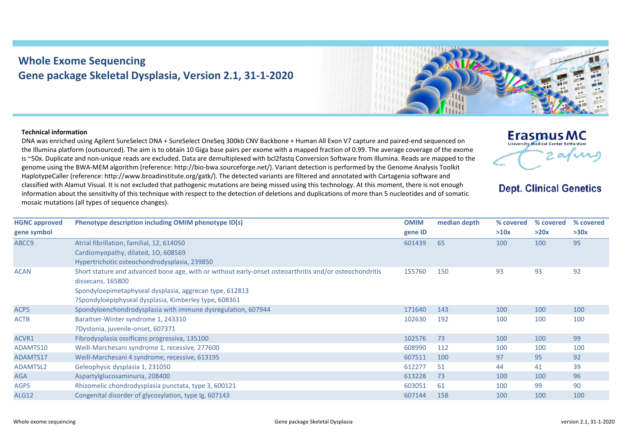## **Whole Exome Sequencing Gene package Skeletal Dysplasia, Version 2.1, 31-1-2020**



## **Technical information**

DNA was enriched using Agilent SureSelect DNA + SureSelect OneSeq 300kb CNV Backbone + Human All Exon V7 capture and paired-end sequenced on the Illumina platform (outsourced). The aim is to obtain 10 Giga base pairs per exome with a mapped fraction of 0.99. The average coverage of the exome is ~50x. Duplicate and non-unique reads are excluded. Data are demultiplexed with bcl2fastq Conversion Software from Illumina. Reads are mapped to the genome using the BWA-MEM algorithm (reference: http://bio-bwa.sourceforge.net/). Variant detection is performed by the Genome Analysis Toolkit HaplotypeCaller (reference: http://www.broadinstitute.org/gatk/). The detected variants are filtered and annotated with Cartagenia software and classified with Alamut Visual. It is not excluded that pathogenic mutations are being missed using this technology. At this moment, there is not enough information about the sensitivity of this technique with respect to the detection of deletions and duplications of more than 5 nucleotides and of somatic mosaic mutations (all types of sequence changes).



## **Dept. Clinical Genetics**

| <b>HGNC approved</b> | Phenotype description including OMIM phenotype ID(s)                                                   | <b>OMIM</b> | median depth | % covered | % covered | % covered |
|----------------------|--------------------------------------------------------------------------------------------------------|-------------|--------------|-----------|-----------|-----------|
| gene symbol          |                                                                                                        | gene ID     |              | >10x      | >20x      | >30x      |
| ABCC9                | Atrial fibrillation, familial, 12, 614050                                                              | 601439      | 65           | 100       | 100       | 95        |
|                      | Cardiomyopathy, dilated, 10, 608569                                                                    |             |              |           |           |           |
|                      | Hypertrichotic osteochondrodysplasia, 239850                                                           |             |              |           |           |           |
| <b>ACAN</b>          | Short stature and advanced bone age, with or without early-onset osteoarthritis and/or osteochondritis | 155760      | 150          | 93        | 93        | 92        |
|                      | dissecans, 165800                                                                                      |             |              |           |           |           |
|                      | Spondyloepimetaphyseal dysplasia, aggrecan type, 612813                                                |             |              |           |           |           |
|                      | ?Spondyloepiphyseal dysplasia, Kimberley type, 608361                                                  |             |              |           |           |           |
| ACP <sub>5</sub>     | Spondyloenchondrodysplasia with immune dysregulation, 607944                                           | 171640      | 143          | 100       | 100       | 100       |
| <b>ACTB</b>          | Baraitser-Winter syndrome 1, 243310                                                                    | 102630      | 192          | 100       | 100       | 100       |
|                      | ?Dystonia, juvenile-onset, 607371                                                                      |             |              |           |           |           |
| ACVR1                | Fibrodysplasia ossificans progressiva, 135100                                                          | 102576      | 73           | 100       | 100       | 99        |
| ADAMTS10             | Weill-Marchesani syndrome 1, recessive, 277600                                                         | 608990      | 112          | 100       | 100       | 100       |
| ADAMTS17             | Weill-Marchesani 4 syndrome, recessive, 613195                                                         | 607511      | 100          | 97        | 95        | 92        |
| ADAMTSL2             | Geleophysic dysplasia 1, 231050                                                                        | 612277      | 51           | 44        | 41        | 39        |
| <b>AGA</b>           | Aspartylglucosaminuria, 208400                                                                         | 613228      | 73           | 100       | 100       | 96        |
| <b>AGPS</b>          | Rhizomelic chondrodysplasia punctata, type 3, 600121                                                   | 603051      | 61           | 100       | 99        | 90        |
| <b>ALG12</b>         | Congenital disorder of glycosylation, type Ig, 607143                                                  | 607144      | 158          | 100       | 100       | 100       |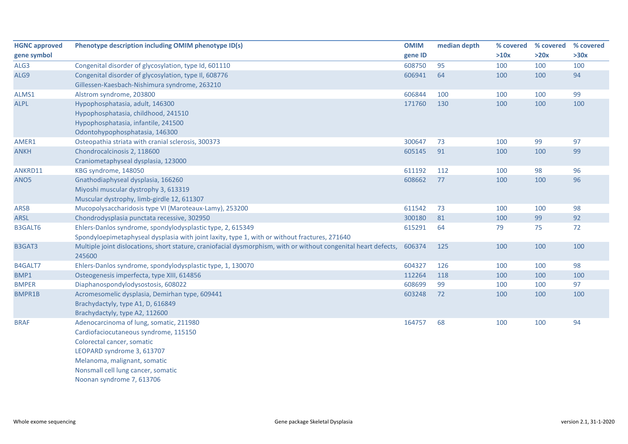| <b>HGNC approved</b> | Phenotype description including OMIM phenotype ID(s)                                                                      | <b>OMIM</b> | median depth | % covered | % covered | % covered |
|----------------------|---------------------------------------------------------------------------------------------------------------------------|-------------|--------------|-----------|-----------|-----------|
| gene symbol          |                                                                                                                           | gene ID     |              | >10x      | >20x      | >30x      |
| ALG3                 | Congenital disorder of glycosylation, type Id, 601110                                                                     | 608750      | 95           | 100       | 100       | 100       |
| ALG9                 | Congenital disorder of glycosylation, type II, 608776                                                                     | 606941      | 64           | 100       | 100       | 94        |
|                      | Gillessen-Kaesbach-Nishimura syndrome, 263210                                                                             |             |              |           |           |           |
| ALMS1                | Alstrom syndrome, 203800                                                                                                  | 606844      | 100          | 100       | 100       | 99        |
| <b>ALPL</b>          | Hypophosphatasia, adult, 146300                                                                                           | 171760      | 130          | 100       | 100       | 100       |
|                      | Hypophosphatasia, childhood, 241510                                                                                       |             |              |           |           |           |
|                      | Hypophosphatasia, infantile, 241500                                                                                       |             |              |           |           |           |
|                      | Odontohypophosphatasia, 146300                                                                                            |             |              |           |           |           |
| AMER1                | Osteopathia striata with cranial sclerosis, 300373                                                                        | 300647      | 73           | 100       | 99        | 97        |
| <b>ANKH</b>          | Chondrocalcinosis 2, 118600                                                                                               | 605145      | 91           | 100       | 100       | 99        |
|                      | Craniometaphyseal dysplasia, 123000                                                                                       |             |              |           |           |           |
| ANKRD11              | KBG syndrome, 148050                                                                                                      | 611192      | 112          | 100       | 98        | 96        |
| ANO <sub>5</sub>     | Gnathodiaphyseal dysplasia, 166260                                                                                        | 608662      | 77           | 100       | 100       | 96        |
|                      | Miyoshi muscular dystrophy 3, 613319                                                                                      |             |              |           |           |           |
|                      | Muscular dystrophy, limb-girdle 12, 611307                                                                                |             |              |           |           |           |
| <b>ARSB</b>          | Mucopolysaccharidosis type VI (Maroteaux-Lamy), 253200                                                                    | 611542      | 73           | 100       | 100       | 98        |
| <b>ARSL</b>          | Chondrodysplasia punctata recessive, 302950                                                                               | 300180      | 81           | 100       | 99        | 92        |
| <b>B3GALT6</b>       | Ehlers-Danlos syndrome, spondylodysplastic type, 2, 615349                                                                | 615291      | 64           | 79        | 75        | 72        |
|                      | Spondyloepimetaphyseal dysplasia with joint laxity, type 1, with or without fractures, 271640                             |             |              |           |           |           |
| B3GAT3               | Multiple joint dislocations, short stature, craniofacial dysmorphism, with or without congenital heart defects,<br>245600 | 606374      | 125          | 100       | 100       | 100       |
| B4GALT7              | Ehlers-Danlos syndrome, spondylodysplastic type, 1, 130070                                                                | 604327      | 126          | 100       | 100       | 98        |
| BMP1                 | Osteogenesis imperfecta, type XIII, 614856                                                                                | 112264      | 118          | 100       | 100       | 100       |
| <b>BMPER</b>         | Diaphanospondylodysostosis, 608022                                                                                        | 608699      | 99           | 100       | 100       | 97        |
| <b>BMPR1B</b>        | Acromesomelic dysplasia, Demirhan type, 609441                                                                            | 603248      | 72           | 100       | 100       | 100       |
|                      | Brachydactyly, type A1, D, 616849                                                                                         |             |              |           |           |           |
|                      | Brachydactyly, type A2, 112600                                                                                            |             |              |           |           |           |
| <b>BRAF</b>          | Adenocarcinoma of lung, somatic, 211980                                                                                   | 164757      | 68           | 100       | 100       | 94        |
|                      | Cardiofaciocutaneous syndrome, 115150                                                                                     |             |              |           |           |           |
|                      | Colorectal cancer, somatic                                                                                                |             |              |           |           |           |
|                      | LEOPARD syndrome 3, 613707                                                                                                |             |              |           |           |           |
|                      | Melanoma, malignant, somatic                                                                                              |             |              |           |           |           |
|                      | Nonsmall cell lung cancer, somatic                                                                                        |             |              |           |           |           |

Noonan syndrome 7, 613706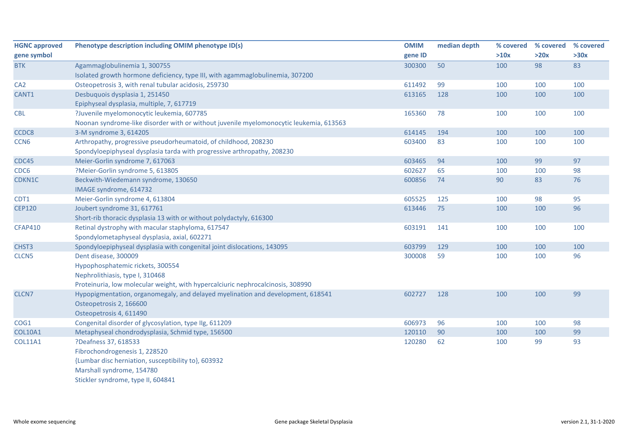| <b>HGNC approved</b> | Phenotype description including OMIM phenotype ID(s)                                   | <b>OMIM</b> | median depth | % covered | % covered | % covered |
|----------------------|----------------------------------------------------------------------------------------|-------------|--------------|-----------|-----------|-----------|
| gene symbol          |                                                                                        | gene ID     |              | >10x      | >20x      | >30x      |
| <b>BTK</b>           | Agammaglobulinemia 1, 300755                                                           | 300300      | 50           | 100       | 98        | 83        |
|                      | Isolated growth hormone deficiency, type III, with agammaglobulinemia, 307200          |             |              |           |           |           |
| CA <sub>2</sub>      | Osteopetrosis 3, with renal tubular acidosis, 259730                                   | 611492      | 99           | 100       | 100       | 100       |
| CANT1                | Desbuquois dysplasia 1, 251450                                                         | 613165      | 128          | 100       | 100       | 100       |
|                      | Epiphyseal dysplasia, multiple, 7, 617719                                              |             |              |           |           |           |
| <b>CBL</b>           | ?Juvenile myelomonocytic leukemia, 607785                                              | 165360      | 78           | 100       | 100       | 100       |
|                      | Noonan syndrome-like disorder with or without juvenile myelomonocytic leukemia, 613563 |             |              |           |           |           |
| CCDC8                | 3-M syndrome 3, 614205                                                                 | 614145      | 194          | 100       | 100       | 100       |
| CCN <sub>6</sub>     | Arthropathy, progressive pseudorheumatoid, of childhood, 208230                        | 603400      | 83           | 100       | 100       | 100       |
|                      | Spondyloepiphyseal dysplasia tarda with progressive arthropathy, 208230                |             |              |           |           |           |
| CDC45                | Meier-Gorlin syndrome 7, 617063                                                        | 603465      | 94           | 100       | 99        | 97        |
| CDC6                 | ?Meier-Gorlin syndrome 5, 613805                                                       | 602627      | 65           | 100       | 100       | 98        |
| CDKN1C               | Beckwith-Wiedemann syndrome, 130650                                                    | 600856      | 74           | 90        | 83        | 76        |
|                      | IMAGE syndrome, 614732                                                                 |             |              |           |           |           |
| CDT1                 | Meier-Gorlin syndrome 4, 613804                                                        | 605525      | 125          | 100       | 98        | 95        |
| <b>CEP120</b>        | Joubert syndrome 31, 617761                                                            | 613446      | 75           | 100       | 100       | 96        |
|                      | Short-rib thoracic dysplasia 13 with or without polydactyly, 616300                    |             |              |           |           |           |
| <b>CFAP410</b>       | Retinal dystrophy with macular staphyloma, 617547                                      | 603191      | 141          | 100       | 100       | 100       |
|                      | Spondylometaphyseal dysplasia, axial, 602271                                           |             |              |           |           |           |
| CHST3                | Spondyloepiphyseal dysplasia with congenital joint dislocations, 143095                | 603799      | 129          | 100       | 100       | 100       |
| CLCN <sub>5</sub>    | Dent disease, 300009                                                                   | 300008      | 59           | 100       | 100       | 96        |
|                      | Hypophosphatemic rickets, 300554                                                       |             |              |           |           |           |
|                      | Nephrolithiasis, type I, 310468                                                        |             |              |           |           |           |
|                      | Proteinuria, low molecular weight, with hypercalciuric nephrocalcinosis, 308990        |             |              |           |           |           |
| CLCN7                | Hypopigmentation, organomegaly, and delayed myelination and development, 618541        | 602727      | 128          | 100       | 100       | 99        |
|                      | Osteopetrosis 2, 166600                                                                |             |              |           |           |           |
|                      | Osteopetrosis 4, 611490                                                                |             |              |           |           |           |
| COG1                 | Congenital disorder of glycosylation, type IIg, 611209                                 | 606973      | 96           | 100       | 100       | 98        |
| <b>COL10A1</b>       | Metaphyseal chondrodysplasia, Schmid type, 156500                                      | 120110      | 90           | 100       | 100       | 99        |
| <b>COL11A1</b>       | ?Deafness 37, 618533                                                                   | 120280      | 62           | 100       | 99        | 93        |
|                      | Fibrochondrogenesis 1, 228520                                                          |             |              |           |           |           |
|                      | {Lumbar disc herniation, susceptibility to}, 603932                                    |             |              |           |           |           |
|                      | Marshall syndrome, 154780                                                              |             |              |           |           |           |
|                      | Stickler syndrome, type II, 604841                                                     |             |              |           |           |           |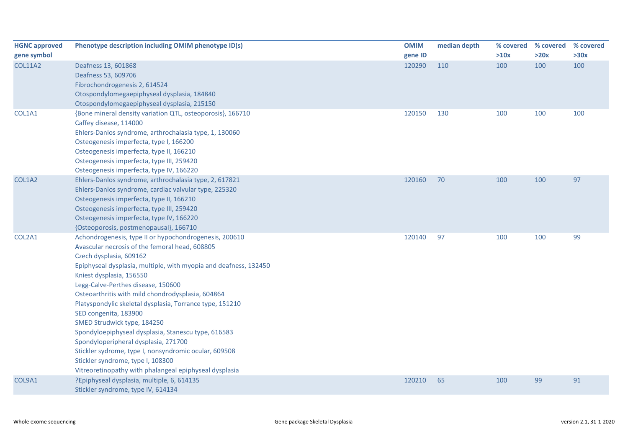| <b>HGNC approved</b> | Phenotype description including OMIM phenotype ID(s)                                                                                                                                                                                                                                                                                                                                                                                                                                                                                                                                                                                                                                                      | <b>OMIM</b> | median depth | % covered | % covered | % covered |
|----------------------|-----------------------------------------------------------------------------------------------------------------------------------------------------------------------------------------------------------------------------------------------------------------------------------------------------------------------------------------------------------------------------------------------------------------------------------------------------------------------------------------------------------------------------------------------------------------------------------------------------------------------------------------------------------------------------------------------------------|-------------|--------------|-----------|-----------|-----------|
| gene symbol          |                                                                                                                                                                                                                                                                                                                                                                                                                                                                                                                                                                                                                                                                                                           | gene ID     |              | >10x      | >20x      | >30x      |
| <b>COL11A2</b>       | Deafness 13, 601868<br>Deafness 53, 609706<br>Fibrochondrogenesis 2, 614524<br>Otospondylomegaepiphyseal dysplasia, 184840<br>Otospondylomegaepiphyseal dysplasia, 215150                                                                                                                                                                                                                                                                                                                                                                                                                                                                                                                                 | 120290      | 110          | 100       | 100       | 100       |
| COL1A1               | {Bone mineral density variation QTL, osteoporosis}, 166710<br>Caffey disease, 114000<br>Ehlers-Danlos syndrome, arthrochalasia type, 1, 130060<br>Osteogenesis imperfecta, type I, 166200<br>Osteogenesis imperfecta, type II, 166210<br>Osteogenesis imperfecta, type III, 259420<br>Osteogenesis imperfecta, type IV, 166220                                                                                                                                                                                                                                                                                                                                                                            | 120150      | 130          | 100       | 100       | 100       |
| COL1A2               | Ehlers-Danlos syndrome, arthrochalasia type, 2, 617821<br>Ehlers-Danlos syndrome, cardiac valvular type, 225320<br>Osteogenesis imperfecta, type II, 166210<br>Osteogenesis imperfecta, type III, 259420<br>Osteogenesis imperfecta, type IV, 166220<br>{Osteoporosis, postmenopausal}, 166710                                                                                                                                                                                                                                                                                                                                                                                                            | 120160      | 70           | 100       | 100       | 97        |
| COL2A1               | Achondrogenesis, type II or hypochondrogenesis, 200610<br>Avascular necrosis of the femoral head, 608805<br>Czech dysplasia, 609162<br>Epiphyseal dysplasia, multiple, with myopia and deafness, 132450<br>Kniest dysplasia, 156550<br>Legg-Calve-Perthes disease, 150600<br>Osteoarthritis with mild chondrodysplasia, 604864<br>Platyspondylic skeletal dysplasia, Torrance type, 151210<br>SED congenita, 183900<br>SMED Strudwick type, 184250<br>Spondyloepiphyseal dysplasia, Stanescu type, 616583<br>Spondyloperipheral dysplasia, 271700<br>Stickler sydrome, type I, nonsyndromic ocular, 609508<br>Stickler syndrome, type I, 108300<br>Vitreoretinopathy with phalangeal epiphyseal dysplasia | 120140      | 97           | 100       | 100       | 99        |
| COL9A1               | ?Epiphyseal dysplasia, multiple, 6, 614135<br>Stickler syndrome, type IV, 614134                                                                                                                                                                                                                                                                                                                                                                                                                                                                                                                                                                                                                          | 120210      | 65           | 100       | 99        | 91        |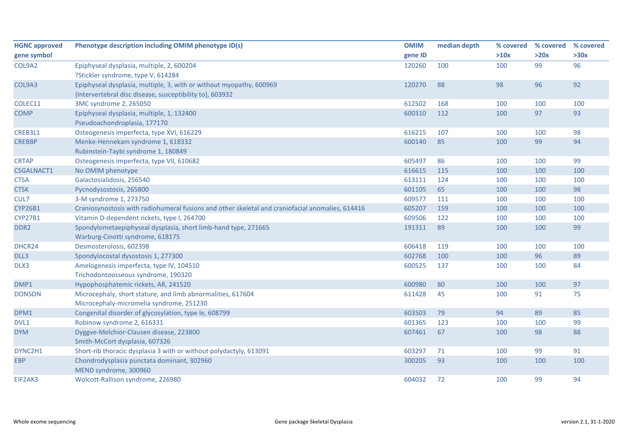| <b>HGNC approved</b> | Phenotype description including OMIM phenotype ID(s)                                             | <b>OMIM</b> | median depth | % covered | % covered | % covered |
|----------------------|--------------------------------------------------------------------------------------------------|-------------|--------------|-----------|-----------|-----------|
| gene symbol          |                                                                                                  | gene ID     |              | >10x      | >20x      | >30x      |
| COL9A2               | Epiphyseal dysplasia, multiple, 2, 600204                                                        | 120260      | 100          | 100       | 99        | 96        |
|                      | ?Stickler syndrome, type V, 614284                                                               |             |              |           |           |           |
| COL9A3               | Epiphyseal dysplasia, multiple, 3, with or without myopathy, 600969                              | 120270      | 88           | 98        | 96        | 92        |
|                      | {Intervertebral disc disease, susceptibility to}, 603932                                         |             |              |           |           |           |
| COLEC11              | 3MC syndrome 2, 265050                                                                           | 612502      | 168          | 100       | 100       | 100       |
| <b>COMP</b>          | Epiphyseal dysplasia, multiple, 1, 132400                                                        | 600310      | 112          | 100       | 97        | 93        |
|                      | Pseudoachondroplasia, 177170                                                                     |             |              |           |           |           |
| CREB3L1              | Osteogenesis imperfecta, type XVI, 616229                                                        | 616215      | 107          | 100       | 100       | 98        |
| <b>CREBBP</b>        | Menke-Hennekam syndrome 1, 618332                                                                | 600140      | 85           | 100       | 99        | 94        |
|                      | Rubinstein-Taybi syndrome 1, 180849                                                              |             |              |           |           |           |
| <b>CRTAP</b>         | Osteogenesis imperfecta, type VII, 610682                                                        | 605497      | 86           | 100       | 100       | 99        |
| <b>CSGALNACT1</b>    | No OMIM phenotype                                                                                | 616615      | 115          | 100       | 100       | 100       |
| <b>CTSA</b>          | Galactosialidosis, 256540                                                                        | 613111      | 124          | 100       | 100       | 100       |
| <b>CTSK</b>          | Pycnodysostosis, 265800                                                                          | 601105      | 65           | 100       | 100       | 98        |
| CUL7                 | 3-M syndrome 1, 273750                                                                           | 609577      | 111          | 100       | 100       | 100       |
| <b>CYP26B1</b>       | Craniosynostosis with radiohumeral fusions and other skeletal and craniofacial anomalies, 614416 | 605207      | 159          | 100       | 100       | 100       |
| <b>CYP27B1</b>       | Vitamin D-dependent rickets, type I, 264700                                                      | 609506      | 122          | 100       | 100       | 100       |
| DDR <sub>2</sub>     | Spondylometaepiphyseal dysplasia, short limb-hand type, 271665                                   | 191311      | 89           | 100       | 100       | 99        |
|                      | Warburg-Cinotti syndrome, 618175                                                                 |             |              |           |           |           |
| DHCR24               | Desmosterolosis, 602398                                                                          | 606418      | 119          | 100       | 100       | 100       |
| DLL3                 | Spondylocostal dysostosis 1, 277300                                                              | 602768      | 100          | 100       | 96        | 89        |
| DLX3                 | Amelogenesis imperfecta, type IV, 104510                                                         | 600525      | 137          | 100       | 100       | 84        |
|                      | Trichodontoosseous syndrome, 190320                                                              |             |              |           |           |           |
| DMP1                 | Hypophosphatemic rickets, AR, 241520                                                             | 600980      | 80           | 100       | 100       | 97        |
| <b>DONSON</b>        | Microcephaly, short stature, and limb abnormalities, 617604                                      | 611428      | 45           | 100       | 91        | 75        |
|                      | Microcephaly-micromelia syndrome, 251230                                                         |             |              |           |           |           |
| DPM1                 | Congenital disorder of glycosylation, type Ie, 608799                                            | 603503      | 79           | 94        | 89        | 85        |
| DVL1                 | Robinow syndrome 2, 616331                                                                       | 601365      | 123          | 100       | 100       | 99        |
| <b>DYM</b>           | Dyggve-Melchior-Clausen disease, 223800                                                          | 607461      | 67           | 100       | 98        | 88        |
|                      | Smith-McCort dysplasia, 607326                                                                   |             |              |           |           |           |
| DYNC2H1              | Short-rib thoracic dysplasia 3 with or without polydactyly, 613091                               | 603297      | 71           | 100       | 99        | 91        |
| <b>EBP</b>           | Chondrodysplasia punctata dominant, 302960                                                       | 300205      | 93           | 100       | 100       | 100       |
|                      | MEND syndrome, 300960                                                                            |             |              |           |           |           |
| EIF2AK3              | Wolcott-Rallison syndrome, 226980                                                                | 604032      | 72           | 100       | 99        | 94        |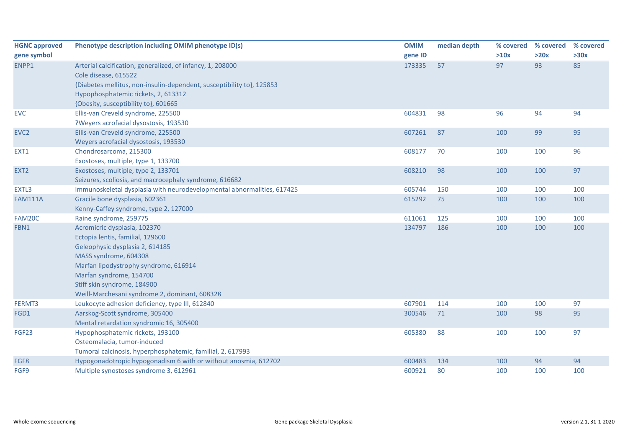| <b>HGNC approved</b> | Phenotype description including OMIM phenotype ID(s)                   | <b>OMIM</b> | median depth | % covered | % covered | % covered |
|----------------------|------------------------------------------------------------------------|-------------|--------------|-----------|-----------|-----------|
| gene symbol          |                                                                        | gene ID     |              | >10x      | >20x      | >30x      |
| ENPP1                | Arterial calcification, generalized, of infancy, 1, 208000             | 173335      | 57           | 97        | 93        | 85        |
|                      | Cole disease, 615522                                                   |             |              |           |           |           |
|                      | {Diabetes mellitus, non-insulin-dependent, susceptibility to}, 125853  |             |              |           |           |           |
|                      | Hypophosphatemic rickets, 2, 613312                                    |             |              |           |           |           |
|                      | {Obesity, susceptibility to}, 601665                                   |             |              |           |           |           |
| <b>EVC</b>           | Ellis-van Creveld syndrome, 225500                                     | 604831      | 98           | 96        | 94        | 94        |
|                      | ?Weyers acrofacial dysostosis, 193530                                  |             |              |           |           |           |
| EVC <sub>2</sub>     | Ellis-van Creveld syndrome, 225500                                     | 607261      | 87           | 100       | 99        | 95        |
|                      | Weyers acrofacial dysostosis, 193530                                   |             |              |           |           |           |
| EXT1                 | Chondrosarcoma, 215300                                                 | 608177      | 70           | 100       | 100       | 96        |
|                      | Exostoses, multiple, type 1, 133700                                    |             |              |           |           |           |
| EXT <sub>2</sub>     | Exostoses, multiple, type 2, 133701                                    | 608210      | 98           | 100       | 100       | 97        |
|                      | Seizures, scoliosis, and macrocephaly syndrome, 616682                 |             |              |           |           |           |
| EXTL3                | Immunoskeletal dysplasia with neurodevelopmental abnormalities, 617425 | 605744      | 150          | 100       | 100       | 100       |
| <b>FAM111A</b>       | Gracile bone dysplasia, 602361                                         | 615292      | 75           | 100       | 100       | 100       |
|                      | Kenny-Caffey syndrome, type 2, 127000                                  |             |              |           |           |           |
| FAM20C               | Raine syndrome, 259775                                                 | 611061      | 125          | 100       | 100       | 100       |
| FBN1                 | Acromicric dysplasia, 102370                                           | 134797      | 186          | 100       | 100       | 100       |
|                      | Ectopia lentis, familial, 129600                                       |             |              |           |           |           |
|                      | Geleophysic dysplasia 2, 614185                                        |             |              |           |           |           |
|                      | MASS syndrome, 604308                                                  |             |              |           |           |           |
|                      | Marfan lipodystrophy syndrome, 616914                                  |             |              |           |           |           |
|                      | Marfan syndrome, 154700                                                |             |              |           |           |           |
|                      | Stiff skin syndrome, 184900                                            |             |              |           |           |           |
|                      | Weill-Marchesani syndrome 2, dominant, 608328                          |             |              |           |           |           |
| FERMT3               | Leukocyte adhesion deficiency, type III, 612840                        | 607901      | 114          | 100       | 100       | 97        |
| FGD1                 | Aarskog-Scott syndrome, 305400                                         | 300546      | 71           | 100       | 98        | 95        |
|                      | Mental retardation syndromic 16, 305400                                |             |              |           |           |           |
| FGF23                | Hypophosphatemic rickets, 193100                                       | 605380      | 88           | 100       | 100       | 97        |
|                      | Osteomalacia, tumor-induced                                            |             |              |           |           |           |
|                      | Tumoral calcinosis, hyperphosphatemic, familial, 2, 617993             |             |              |           |           |           |
| FGF8                 | Hypogonadotropic hypogonadism 6 with or without anosmia, 612702        | 600483      | 134          | 100       | 94        | 94        |
| FGF9                 | Multiple synostoses syndrome 3, 612961                                 | 600921      | 80           | 100       | 100       | 100       |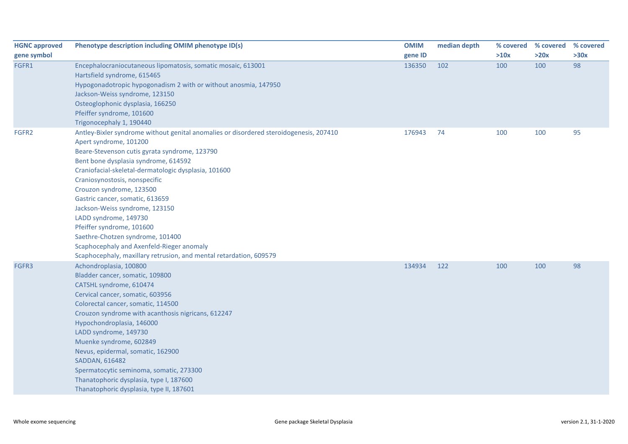| <b>HGNC approved</b> | Phenotype description including OMIM phenotype ID(s)                                   | <b>OMIM</b> | median depth | % covered | % covered | % covered |
|----------------------|----------------------------------------------------------------------------------------|-------------|--------------|-----------|-----------|-----------|
| gene symbol          |                                                                                        | gene ID     |              | >10x      | >20x      | >30x      |
| FGFR1                | Encephalocraniocutaneous lipomatosis, somatic mosaic, 613001                           | 136350      | 102          | 100       | 100       | 98        |
|                      | Hartsfield syndrome, 615465                                                            |             |              |           |           |           |
|                      | Hypogonadotropic hypogonadism 2 with or without anosmia, 147950                        |             |              |           |           |           |
|                      | Jackson-Weiss syndrome, 123150                                                         |             |              |           |           |           |
|                      | Osteoglophonic dysplasia, 166250                                                       |             |              |           |           |           |
|                      | Pfeiffer syndrome, 101600                                                              |             |              |           |           |           |
|                      | Trigonocephaly 1, 190440                                                               |             |              |           |           |           |
| FGFR2                | Antley-Bixler syndrome without genital anomalies or disordered steroidogenesis, 207410 | 176943      | 74           | 100       | 100       | 95        |
|                      | Apert syndrome, 101200                                                                 |             |              |           |           |           |
|                      | Beare-Stevenson cutis gyrata syndrome, 123790                                          |             |              |           |           |           |
|                      | Bent bone dysplasia syndrome, 614592                                                   |             |              |           |           |           |
|                      | Craniofacial-skeletal-dermatologic dysplasia, 101600                                   |             |              |           |           |           |
|                      | Craniosynostosis, nonspecific                                                          |             |              |           |           |           |
|                      | Crouzon syndrome, 123500                                                               |             |              |           |           |           |
|                      | Gastric cancer, somatic, 613659                                                        |             |              |           |           |           |
|                      | Jackson-Weiss syndrome, 123150                                                         |             |              |           |           |           |
|                      | LADD syndrome, 149730                                                                  |             |              |           |           |           |
|                      | Pfeiffer syndrome, 101600                                                              |             |              |           |           |           |
|                      | Saethre-Chotzen syndrome, 101400                                                       |             |              |           |           |           |
|                      | Scaphocephaly and Axenfeld-Rieger anomaly                                              |             |              |           |           |           |
|                      | Scaphocephaly, maxillary retrusion, and mental retardation, 609579                     |             |              |           |           |           |
| FGFR3                | Achondroplasia, 100800                                                                 | 134934      | 122          | 100       | 100       | 98        |
|                      | Bladder cancer, somatic, 109800                                                        |             |              |           |           |           |
|                      | CATSHL syndrome, 610474                                                                |             |              |           |           |           |
|                      | Cervical cancer, somatic, 603956                                                       |             |              |           |           |           |
|                      | Colorectal cancer, somatic, 114500                                                     |             |              |           |           |           |
|                      | Crouzon syndrome with acanthosis nigricans, 612247                                     |             |              |           |           |           |
|                      | Hypochondroplasia, 146000                                                              |             |              |           |           |           |
|                      | LADD syndrome, 149730                                                                  |             |              |           |           |           |
|                      | Muenke syndrome, 602849                                                                |             |              |           |           |           |
|                      | Nevus, epidermal, somatic, 162900                                                      |             |              |           |           |           |
|                      | SADDAN, 616482                                                                         |             |              |           |           |           |
|                      | Spermatocytic seminoma, somatic, 273300                                                |             |              |           |           |           |
|                      | Thanatophoric dysplasia, type I, 187600                                                |             |              |           |           |           |
|                      | Thanatophoric dysplasia, type II, 187601                                               |             |              |           |           |           |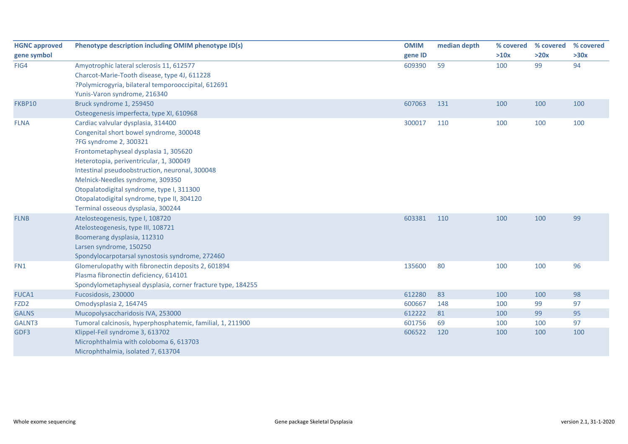| <b>HGNC approved</b> | Phenotype description including OMIM phenotype ID(s)        | <b>OMIM</b> | median depth | % covered | % covered | % covered |
|----------------------|-------------------------------------------------------------|-------------|--------------|-----------|-----------|-----------|
| gene symbol          |                                                             | gene ID     |              | >10x      | >20x      | >30x      |
| FIG4                 | Amyotrophic lateral sclerosis 11, 612577                    | 609390      | 59           | 100       | 99        | 94        |
|                      | Charcot-Marie-Tooth disease, type 4J, 611228                |             |              |           |           |           |
|                      | ?Polymicrogyria, bilateral temporooccipital, 612691         |             |              |           |           |           |
|                      | Yunis-Varon syndrome, 216340                                |             |              |           |           |           |
| FKBP10               | Bruck syndrome 1, 259450                                    | 607063      | 131          | 100       | 100       | 100       |
|                      | Osteogenesis imperfecta, type XI, 610968                    |             |              |           |           |           |
| <b>FLNA</b>          | Cardiac valvular dysplasia, 314400                          | 300017      | 110          | 100       | 100       | 100       |
|                      | Congenital short bowel syndrome, 300048                     |             |              |           |           |           |
|                      | ?FG syndrome 2, 300321                                      |             |              |           |           |           |
|                      | Frontometaphyseal dysplasia 1, 305620                       |             |              |           |           |           |
|                      | Heterotopia, periventricular, 1, 300049                     |             |              |           |           |           |
|                      | Intestinal pseudoobstruction, neuronal, 300048              |             |              |           |           |           |
|                      | Melnick-Needles syndrome, 309350                            |             |              |           |           |           |
|                      | Otopalatodigital syndrome, type I, 311300                   |             |              |           |           |           |
|                      | Otopalatodigital syndrome, type II, 304120                  |             |              |           |           |           |
|                      | Terminal osseous dysplasia, 300244                          |             |              |           |           |           |
| <b>FLNB</b>          | Atelosteogenesis, type I, 108720                            | 603381      | 110          | 100       | 100       | 99        |
|                      | Atelosteogenesis, type III, 108721                          |             |              |           |           |           |
|                      | Boomerang dysplasia, 112310                                 |             |              |           |           |           |
|                      | Larsen syndrome, 150250                                     |             |              |           |           |           |
|                      | Spondylocarpotarsal synostosis syndrome, 272460             |             |              |           |           |           |
| FN1                  | Glomerulopathy with fibronectin deposits 2, 601894          | 135600      | 80           | 100       | 100       | 96        |
|                      | Plasma fibronectin deficiency, 614101                       |             |              |           |           |           |
|                      | Spondylometaphyseal dysplasia, corner fracture type, 184255 |             |              |           |           |           |
| FUCA1                | Fucosidosis, 230000                                         | 612280      | 83           | 100       | 100       | 98        |
| FZD <sub>2</sub>     | Omodysplasia 2, 164745                                      | 600667      | 148          | 100       | 99        | 97        |
| <b>GALNS</b>         | Mucopolysaccharidosis IVA, 253000                           | 612222      | 81           | 100       | 99        | 95        |
| GALNT3               | Tumoral calcinosis, hyperphosphatemic, familial, 1, 211900  | 601756      | 69           | 100       | 100       | 97        |
| GDF3                 | Klippel-Feil syndrome 3, 613702                             | 606522      | 120          | 100       | 100       | 100       |
|                      | Microphthalmia with coloboma 6, 613703                      |             |              |           |           |           |
|                      | Microphthalmia, isolated 7, 613704                          |             |              |           |           |           |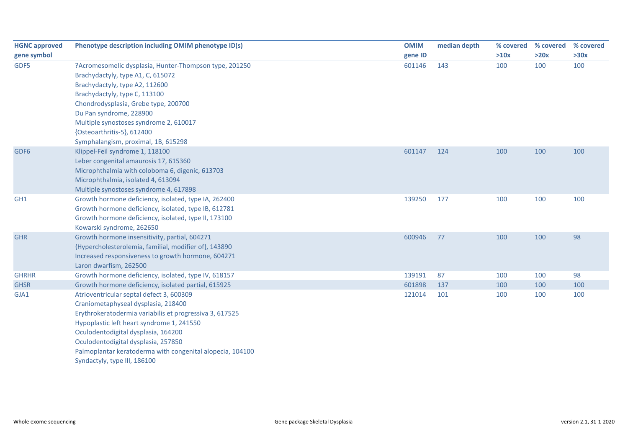| <b>HGNC approved</b> | Phenotype description including OMIM phenotype ID(s)                                           | <b>OMIM</b> | median depth | % covered | % covered | % covered |
|----------------------|------------------------------------------------------------------------------------------------|-------------|--------------|-----------|-----------|-----------|
| gene symbol          |                                                                                                | gene ID     |              | >10x      | >20x      | >30x      |
| GDF5                 | ?Acromesomelic dysplasia, Hunter-Thompson type, 201250                                         | 601146      | 143          | 100       | 100       | 100       |
|                      | Brachydactyly, type A1, C, 615072                                                              |             |              |           |           |           |
|                      | Brachydactyly, type A2, 112600                                                                 |             |              |           |           |           |
|                      | Brachydactyly, type C, 113100                                                                  |             |              |           |           |           |
|                      | Chondrodysplasia, Grebe type, 200700                                                           |             |              |           |           |           |
|                      | Du Pan syndrome, 228900                                                                        |             |              |           |           |           |
|                      | Multiple synostoses syndrome 2, 610017                                                         |             |              |           |           |           |
|                      | {Osteoarthritis-5}, 612400                                                                     |             |              |           |           |           |
|                      | Symphalangism, proximal, 1B, 615298                                                            |             |              |           |           |           |
| GDF6                 | Klippel-Feil syndrome 1, 118100                                                                | 601147      | 124          | 100       | 100       | 100       |
|                      | Leber congenital amaurosis 17, 615360                                                          |             |              |           |           |           |
|                      | Microphthalmia with coloboma 6, digenic, 613703                                                |             |              |           |           |           |
|                      | Microphthalmia, isolated 4, 613094                                                             |             |              |           |           |           |
| GH <sub>1</sub>      | Multiple synostoses syndrome 4, 617898<br>Growth hormone deficiency, isolated, type IA, 262400 | 139250      | 177          | 100       | 100       | 100       |
|                      | Growth hormone deficiency, isolated, type IB, 612781                                           |             |              |           |           |           |
|                      | Growth hormone deficiency, isolated, type II, 173100                                           |             |              |           |           |           |
|                      | Kowarski syndrome, 262650                                                                      |             |              |           |           |           |
| <b>GHR</b>           | Growth hormone insensitivity, partial, 604271                                                  | 600946      | 77           | 100       | 100       | 98        |
|                      | {Hypercholesterolemia, familial, modifier of}, 143890                                          |             |              |           |           |           |
|                      | Increased responsiveness to growth hormone, 604271                                             |             |              |           |           |           |
|                      | Laron dwarfism, 262500                                                                         |             |              |           |           |           |
| <b>GHRHR</b>         | Growth hormone deficiency, isolated, type IV, 618157                                           | 139191      | 87           | 100       | 100       | 98        |
| <b>GHSR</b>          | Growth hormone deficiency, isolated partial, 615925                                            | 601898      | 137          | 100       | 100       | 100       |
| GJA1                 | Atrioventricular septal defect 3, 600309                                                       | 121014      | 101          | 100       | 100       | 100       |
|                      | Craniometaphyseal dysplasia, 218400                                                            |             |              |           |           |           |
|                      | Erythrokeratodermia variabilis et progressiva 3, 617525                                        |             |              |           |           |           |
|                      | Hypoplastic left heart syndrome 1, 241550                                                      |             |              |           |           |           |
|                      | Oculodentodigital dysplasia, 164200                                                            |             |              |           |           |           |
|                      | Oculodentodigital dysplasia, 257850                                                            |             |              |           |           |           |
|                      | Palmoplantar keratoderma with congenital alopecia, 104100                                      |             |              |           |           |           |
|                      | Syndactyly, type III, 186100                                                                   |             |              |           |           |           |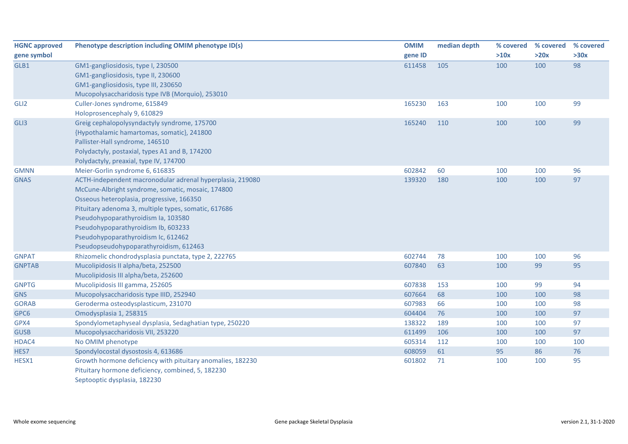| <b>HGNC approved</b> | Phenotype description including OMIM phenotype ID(s)       | <b>OMIM</b> | median depth | % covered | % covered | % covered |
|----------------------|------------------------------------------------------------|-------------|--------------|-----------|-----------|-----------|
| gene symbol          |                                                            | gene ID     |              | >10x      | >20x      | >30x      |
| GLB1                 | GM1-gangliosidosis, type I, 230500                         | 611458      | 105          | 100       | 100       | 98        |
|                      | GM1-gangliosidosis, type II, 230600                        |             |              |           |           |           |
|                      | GM1-gangliosidosis, type III, 230650                       |             |              |           |           |           |
|                      | Mucopolysaccharidosis type IVB (Morquio), 253010           |             |              |           |           |           |
| GLI2                 | Culler-Jones syndrome, 615849                              | 165230      | 163          | 100       | 100       | 99        |
|                      | Holoprosencephaly 9, 610829                                |             |              |           |           |           |
| GLI3                 | Greig cephalopolysyndactyly syndrome, 175700               | 165240      | 110          | 100       | 100       | 99        |
|                      | {Hypothalamic hamartomas, somatic}, 241800                 |             |              |           |           |           |
|                      | Pallister-Hall syndrome, 146510                            |             |              |           |           |           |
|                      | Polydactyly, postaxial, types A1 and B, 174200             |             |              |           |           |           |
|                      | Polydactyly, preaxial, type IV, 174700                     |             |              |           |           |           |
| <b>GMNN</b>          | Meier-Gorlin syndrome 6, 616835                            | 602842      | 60           | 100       | 100       | 96        |
| <b>GNAS</b>          | ACTH-independent macronodular adrenal hyperplasia, 219080  | 139320      | 180          | 100       | 100       | 97        |
|                      | McCune-Albright syndrome, somatic, mosaic, 174800          |             |              |           |           |           |
|                      | Osseous heteroplasia, progressive, 166350                  |             |              |           |           |           |
|                      | Pituitary adenoma 3, multiple types, somatic, 617686       |             |              |           |           |           |
|                      | Pseudohypoparathyroidism Ia, 103580                        |             |              |           |           |           |
|                      | Pseudohypoparathyroidism Ib, 603233                        |             |              |           |           |           |
|                      | Pseudohypoparathyroidism Ic, 612462                        |             |              |           |           |           |
|                      | Pseudopseudohypoparathyroidism, 612463                     |             |              |           |           |           |
| <b>GNPAT</b>         | Rhizomelic chondrodysplasia punctata, type 2, 222765       | 602744      | 78           | 100       | 100       | 96        |
| <b>GNPTAB</b>        | Mucolipidosis II alpha/beta, 252500                        | 607840      | 63           | 100       | 99        | 95        |
|                      | Mucolipidosis III alpha/beta, 252600                       |             |              |           |           |           |
| <b>GNPTG</b>         | Mucolipidosis III gamma, 252605                            | 607838      | 153          | 100       | 99        | 94        |
| <b>GNS</b>           | Mucopolysaccharidosis type IIID, 252940                    | 607664      | 68           | 100       | 100       | 98        |
| <b>GORAB</b>         | Geroderma osteodysplasticum, 231070                        | 607983      | 66           | 100       | 100       | 98        |
| GPC6                 | Omodysplasia 1, 258315                                     | 604404      | 76           | 100       | 100       | 97        |
| GPX4                 | Spondylometaphyseal dysplasia, Sedaghatian type, 250220    | 138322      | 189          | 100       | 100       | 97        |
| <b>GUSB</b>          | Mucopolysaccharidosis VII, 253220                          | 611499      | 106          | 100       | 100       | 97        |
| HDAC4                | No OMIM phenotype                                          | 605314      | 112          | 100       | 100       | 100       |
| HES7                 | Spondylocostal dysostosis 4, 613686                        | 608059      | 61           | 95        | 86        | 76        |
| HESX1                | Growth hormone deficiency with pituitary anomalies, 182230 | 601802      | 71           | 100       | 100       | 95        |
|                      | Pituitary hormone deficiency, combined, 5, 182230          |             |              |           |           |           |
|                      | Septooptic dysplasia, 182230                               |             |              |           |           |           |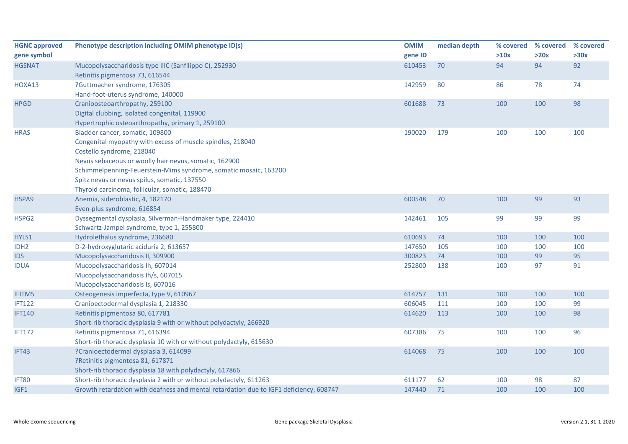| <b>HGNC approved</b> | Phenotype description including OMIM phenotype ID(s)                                   | <b>OMIM</b> | median depth | % covered | % covered | % covered |
|----------------------|----------------------------------------------------------------------------------------|-------------|--------------|-----------|-----------|-----------|
| gene symbol          |                                                                                        | gene ID     |              | >10x      | >20x      | >30x      |
| <b>HGSNAT</b>        | Mucopolysaccharidosis type IIIC (Sanfilippo C), 252930                                 | 610453      | 70           | 94        | 94        | 92        |
|                      | Retinitis pigmentosa 73, 616544                                                        |             |              |           |           |           |
| HOXA13               | ?Guttmacher syndrome, 176305                                                           | 142959      | 80           | 86        | 78        | 74        |
|                      | Hand-foot-uterus syndrome, 140000                                                      |             |              |           |           |           |
| <b>HPGD</b>          | Cranioosteoarthropathy, 259100                                                         | 601688      | 73           | 100       | 100       | 98        |
|                      | Digital clubbing, isolated congenital, 119900                                          |             |              |           |           |           |
|                      | Hypertrophic osteoarthropathy, primary 1, 259100                                       |             |              |           |           |           |
| <b>HRAS</b>          | Bladder cancer, somatic, 109800                                                        | 190020      | 179          | 100       | 100       | 100       |
|                      | Congenital myopathy with excess of muscle spindles, 218040                             |             |              |           |           |           |
|                      | Costello syndrome, 218040                                                              |             |              |           |           |           |
|                      | Nevus sebaceous or woolly hair nevus, somatic, 162900                                  |             |              |           |           |           |
|                      | Schimmelpenning-Feuerstein-Mims syndrome, somatic mosaic, 163200                       |             |              |           |           |           |
|                      | Spitz nevus or nevus spilus, somatic, 137550                                           |             |              |           |           |           |
|                      | Thyroid carcinoma, follicular, somatic, 188470                                         |             |              |           |           |           |
| HSPA9                | Anemia, sideroblastic, 4, 182170                                                       | 600548      | 70           | 100       | 99        | 93        |
|                      | Even-plus syndrome, 616854                                                             |             |              |           |           |           |
| HSPG2                | Dyssegmental dysplasia, Silverman-Handmaker type, 224410                               | 142461      | 105          | 99        | 99        | 99        |
|                      | Schwartz-Jampel syndrome, type 1, 255800                                               |             |              |           |           |           |
| HYLS1                | Hydrolethalus syndrome, 236680                                                         | 610693      | 74           | 100       | 100       | 100       |
| IDH <sub>2</sub>     | D-2-hydroxyglutaric aciduria 2, 613657                                                 | 147650      | 105          | 100       | 100       | 100       |
| <b>IDS</b>           | Mucopolysaccharidosis II, 309900                                                       | 300823      | 74           | 100       | 99        | 95        |
| <b>IDUA</b>          | Mucopolysaccharidosis Ih, 607014                                                       | 252800      | 138          | 100       | 97        | 91        |
|                      | Mucopolysaccharidosis Ih/s, 607015                                                     |             |              |           |           |           |
|                      | Mucopolysaccharidosis Is, 607016                                                       |             |              |           |           |           |
| <b>IFITM5</b>        | Osteogenesis imperfecta, type V, 610967                                                | 614757      | 131          | 100       | 100       | 100       |
| <b>IFT122</b>        | Cranioectodermal dysplasia 1, 218330                                                   | 606045      | 111          | 100       | 100       | 99        |
| <b>IFT140</b>        | Retinitis pigmentosa 80, 617781                                                        | 614620      | 113          | 100       | 100       | 98        |
|                      | Short-rib thoracic dysplasia 9 with or without polydactyly, 266920                     |             |              |           |           |           |
| <b>IFT172</b>        | Retinitis pigmentosa 71, 616394                                                        | 607386      | 75           | 100       | 100       | 96        |
|                      | Short-rib thoracic dysplasia 10 with or without polydactyly, 615630                    |             |              |           |           |           |
| IFT43                | ?Cranioectodermal dysplasia 3, 614099                                                  | 614068      | 75           | 100       | 100       | 100       |
|                      | ?Retinitis pigmentosa 81, 617871                                                       |             |              |           |           |           |
|                      | Short-rib thoracic dysplasia 18 with polydactyly, 617866                               |             |              |           |           |           |
| <b>IFT80</b>         | Short-rib thoracic dysplasia 2 with or without polydactyly, 611263                     | 611177      | 62           | 100       | 98        | 87        |
| IGF1                 | Growth retardation with deafness and mental retardation due to IGF1 deficiency, 608747 | 147440      | 71           | 100       | 100       | 100       |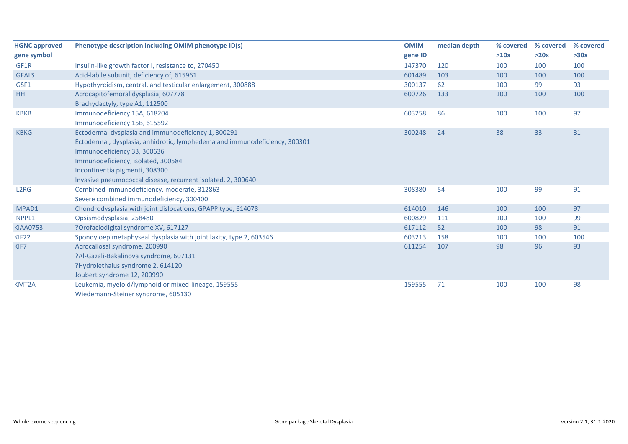| <b>HGNC approved</b> | Phenotype description including OMIM phenotype ID(s)                       | <b>OMIM</b> | median depth | % covered | % covered | % covered |
|----------------------|----------------------------------------------------------------------------|-------------|--------------|-----------|-----------|-----------|
| gene symbol          |                                                                            | gene ID     |              | >10x      | >20x      | >30x      |
| IGF1R                | Insulin-like growth factor I, resistance to, 270450                        | 147370      | 120          | 100       | 100       | 100       |
| <b>IGFALS</b>        | Acid-labile subunit, deficiency of, 615961                                 | 601489      | 103          | 100       | 100       | 100       |
| IGSF1                | Hypothyroidism, central, and testicular enlargement, 300888                | 300137      | 62           | 100       | 99        | 93        |
| <b>IHH</b>           | Acrocapitofemoral dysplasia, 607778                                        | 600726      | 133          | 100       | 100       | 100       |
|                      | Brachydactyly, type A1, 112500                                             |             |              |           |           |           |
| <b>IKBKB</b>         | Immunodeficiency 15A, 618204                                               | 603258      | 86           | 100       | 100       | 97        |
|                      | Immunodeficiency 15B, 615592                                               |             |              |           |           |           |
| <b>IKBKG</b>         | Ectodermal dysplasia and immunodeficiency 1, 300291                        | 300248      | 24           | 38        | 33        | 31        |
|                      | Ectodermal, dysplasia, anhidrotic, lymphedema and immunodeficiency, 300301 |             |              |           |           |           |
|                      | Immunodeficiency 33, 300636                                                |             |              |           |           |           |
|                      | Immunodeficiency, isolated, 300584                                         |             |              |           |           |           |
|                      | Incontinentia pigmenti, 308300                                             |             |              |           |           |           |
|                      | Invasive pneumococcal disease, recurrent isolated, 2, 300640               |             |              |           |           |           |
| IL2RG                | Combined immunodeficiency, moderate, 312863                                | 308380      | 54           | 100       | 99        | 91        |
|                      | Severe combined immunodeficiency, 300400                                   |             |              |           |           |           |
| <b>IMPAD1</b>        | Chondrodysplasia with joint dislocations, GPAPP type, 614078               | 614010      | 146          | 100       | 100       | 97        |
| INPPL1               | Opsismodysplasia, 258480                                                   | 600829      | 111          | 100       | 100       | 99        |
| <b>KIAA0753</b>      | ?Orofaciodigital syndrome XV, 617127                                       | 617112      | 52           | 100       | 98        | 91        |
| KIF <sub>22</sub>    | Spondyloepimetaphyseal dysplasia with joint laxity, type 2, 603546         | 603213      | 158          | 100       | 100       | 100       |
| KIF7                 | Acrocallosal syndrome, 200990                                              | 611254      | 107          | 98        | 96        | 93        |
|                      | ?Al-Gazali-Bakalinova syndrome, 607131                                     |             |              |           |           |           |
|                      | ?Hydrolethalus syndrome 2, 614120                                          |             |              |           |           |           |
|                      | Joubert syndrome 12, 200990                                                |             |              |           |           |           |
| KMT2A                | Leukemia, myeloid/lymphoid or mixed-lineage, 159555                        | 159555      | 71           | 100       | 100       | 98        |
|                      | Wiedemann-Steiner syndrome, 605130                                         |             |              |           |           |           |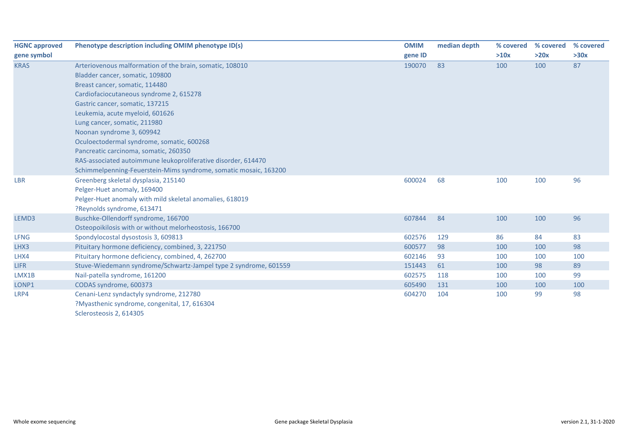| <b>HGNC approved</b> | Phenotype description including OMIM phenotype ID(s)             | <b>OMIM</b> | median depth | % covered | % covered | % covered |
|----------------------|------------------------------------------------------------------|-------------|--------------|-----------|-----------|-----------|
| gene symbol          |                                                                  | gene ID     |              | >10x      | >20x      | >30x      |
| <b>KRAS</b>          | Arteriovenous malformation of the brain, somatic, 108010         | 190070      | 83           | 100       | 100       | 87        |
|                      | Bladder cancer, somatic, 109800                                  |             |              |           |           |           |
|                      | Breast cancer, somatic, 114480                                   |             |              |           |           |           |
|                      | Cardiofaciocutaneous syndrome 2, 615278                          |             |              |           |           |           |
|                      | Gastric cancer, somatic, 137215                                  |             |              |           |           |           |
|                      | Leukemia, acute myeloid, 601626                                  |             |              |           |           |           |
|                      | Lung cancer, somatic, 211980                                     |             |              |           |           |           |
|                      | Noonan syndrome 3, 609942                                        |             |              |           |           |           |
|                      | Oculoectodermal syndrome, somatic, 600268                        |             |              |           |           |           |
|                      | Pancreatic carcinoma, somatic, 260350                            |             |              |           |           |           |
|                      | RAS-associated autoimmune leukoproliferative disorder, 614470    |             |              |           |           |           |
|                      | Schimmelpenning-Feuerstein-Mims syndrome, somatic mosaic, 163200 |             |              |           |           |           |
| <b>LBR</b>           | Greenberg skeletal dysplasia, 215140                             | 600024      | 68           | 100       | 100       | 96        |
|                      | Pelger-Huet anomaly, 169400                                      |             |              |           |           |           |
|                      | Pelger-Huet anomaly with mild skeletal anomalies, 618019         |             |              |           |           |           |
|                      | ?Reynolds syndrome, 613471                                       |             |              |           |           |           |
| LEMD3                | Buschke-Ollendorff syndrome, 166700                              | 607844      | 84           | 100       | 100       | 96        |
|                      | Osteopoikilosis with or without melorheostosis, 166700           |             |              |           |           |           |
| <b>LFNG</b>          | Spondylocostal dysostosis 3, 609813                              | 602576      | 129          | 86        | 84        | 83        |
| LHX3                 | Pituitary hormone deficiency, combined, 3, 221750                | 600577      | 98           | 100       | 100       | 98        |
| LHX4                 | Pituitary hormone deficiency, combined, 4, 262700                | 602146      | 93           | 100       | 100       | 100       |
| <b>LIFR</b>          | Stuve-Wiedemann syndrome/Schwartz-Jampel type 2 syndrome, 601559 | 151443      | 61           | 100       | 98        | 89        |
| LMX1B                | Nail-patella syndrome, 161200                                    | 602575      | 118          | 100       | 100       | 99        |
| LONP1                | CODAS syndrome, 600373                                           | 605490      | 131          | 100       | 100       | 100       |
| LRP4                 | Cenani-Lenz syndactyly syndrome, 212780                          | 604270      | 104          | 100       | 99        | 98        |
|                      | ?Myasthenic syndrome, congenital, 17, 616304                     |             |              |           |           |           |
|                      | Sclerosteosis 2, 614305                                          |             |              |           |           |           |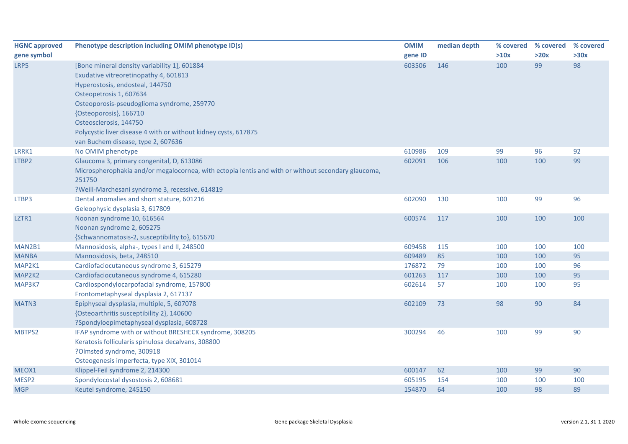| <b>HGNC approved</b> | Phenotype description including OMIM phenotype ID(s)                                               | <b>OMIM</b> | median depth | % covered | % covered | % covered |
|----------------------|----------------------------------------------------------------------------------------------------|-------------|--------------|-----------|-----------|-----------|
| gene symbol          |                                                                                                    | gene ID     |              | >10x      | >20x      | >30x      |
| LRP5                 | [Bone mineral density variability 1], 601884                                                       | 603506      | 146          | 100       | 99        | 98        |
|                      | Exudative vitreoretinopathy 4, 601813                                                              |             |              |           |           |           |
|                      | Hyperostosis, endosteal, 144750                                                                    |             |              |           |           |           |
|                      | Osteopetrosis 1, 607634                                                                            |             |              |           |           |           |
|                      | Osteoporosis-pseudoglioma syndrome, 259770                                                         |             |              |           |           |           |
|                      | {Osteoporosis}, 166710                                                                             |             |              |           |           |           |
|                      | Osteosclerosis, 144750                                                                             |             |              |           |           |           |
|                      | Polycystic liver disease 4 with or without kidney cysts, 617875                                    |             |              |           |           |           |
|                      | van Buchem disease, type 2, 607636                                                                 |             |              |           |           |           |
| LRRK1                | No OMIM phenotype                                                                                  | 610986      | 109          | 99        | 96        | 92        |
| LTBP2                | Glaucoma 3, primary congenital, D, 613086                                                          | 602091      | 106          | 100       | 100       | 99        |
|                      | Microspherophakia and/or megalocornea, with ectopia lentis and with or without secondary glaucoma, |             |              |           |           |           |
|                      | 251750                                                                                             |             |              |           |           |           |
|                      | ?Weill-Marchesani syndrome 3, recessive, 614819                                                    |             |              |           |           |           |
| LTBP3                | Dental anomalies and short stature, 601216                                                         | 602090      | 130          | 100       | 99        | 96        |
|                      | Geleophysic dysplasia 3, 617809                                                                    |             |              |           |           |           |
| LZTR1                | Noonan syndrome 10, 616564                                                                         | 600574      | 117          | 100       | 100       | 100       |
|                      | Noonan syndrome 2, 605275                                                                          |             |              |           |           |           |
|                      | {Schwannomatosis-2, susceptibility to}, 615670                                                     |             |              |           |           |           |
| MAN2B1               | Mannosidosis, alpha-, types I and II, 248500                                                       | 609458      | 115          | 100       | 100       | 100       |
| <b>MANBA</b>         | Mannosidosis, beta, 248510                                                                         | 609489      | 85           | 100       | 100       | 95        |
| MAP2K1               | Cardiofaciocutaneous syndrome 3, 615279                                                            | 176872      | 79           | 100       | 100       | 96        |
| MAP2K2               | Cardiofaciocutaneous syndrome 4, 615280                                                            | 601263      | 117          | 100       | 100       | 95        |
| MAP3K7               | Cardiospondylocarpofacial syndrome, 157800                                                         | 602614      | 57           | 100       | 100       | 95        |
|                      | Frontometaphyseal dysplasia 2, 617137                                                              |             |              |           |           |           |
| MATN3                | Epiphyseal dysplasia, multiple, 5, 607078                                                          | 602109      | 73           | 98        | 90        | 84        |
|                      | {Osteoarthritis susceptibility 2}, 140600                                                          |             |              |           |           |           |
|                      | ?Spondyloepimetaphyseal dysplasia, 608728                                                          |             |              |           |           |           |
| MBTPS2               | IFAP syndrome with or without BRESHECK syndrome, 308205                                            | 300294      | 46           | 100       | 99        | 90        |
|                      | Keratosis follicularis spinulosa decalvans, 308800                                                 |             |              |           |           |           |
|                      | ?Olmsted syndrome, 300918                                                                          |             |              |           |           |           |
|                      | Osteogenesis imperfecta, type XIX, 301014                                                          |             |              |           |           |           |
| MEOX1                | Klippel-Feil syndrome 2, 214300                                                                    | 600147      | 62           | 100       | 99        | 90        |
| MESP2                | Spondylocostal dysostosis 2, 608681                                                                | 605195      | 154          | 100       | 100       | 100       |
| <b>MGP</b>           | Keutel syndrome, 245150                                                                            | 154870      | 64           | 100       | 98        | 89        |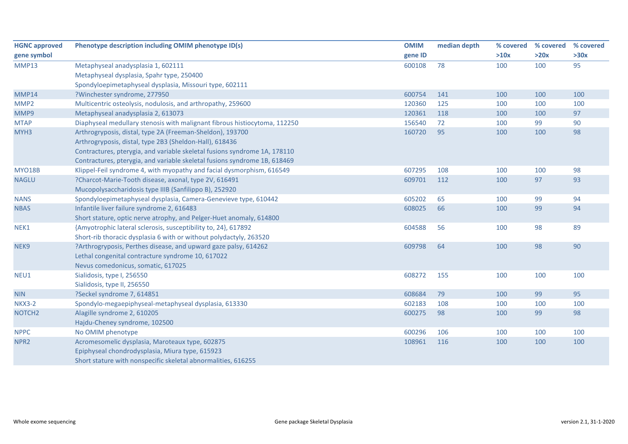| <b>HGNC approved</b> | Phenotype description including OMIM phenotype ID(s)                      | <b>OMIM</b> | median depth | % covered | % covered | % covered |
|----------------------|---------------------------------------------------------------------------|-------------|--------------|-----------|-----------|-----------|
| gene symbol          |                                                                           | gene ID     |              | >10x      | >20x      | >30x      |
| <b>MMP13</b>         | Metaphyseal anadysplasia 1, 602111                                        | 600108      | 78           | 100       | 100       | 95        |
|                      | Metaphyseal dysplasia, Spahr type, 250400                                 |             |              |           |           |           |
|                      | Spondyloepimetaphyseal dysplasia, Missouri type, 602111                   |             |              |           |           |           |
| MMP14                | ?Winchester syndrome, 277950                                              | 600754      | 141          | 100       | 100       | 100       |
| MMP2                 | Multicentric osteolysis, nodulosis, and arthropathy, 259600               | 120360      | 125          | 100       | 100       | 100       |
| MMP9                 | Metaphyseal anadysplasia 2, 613073                                        | 120361      | 118          | 100       | 100       | 97        |
| <b>MTAP</b>          | Diaphyseal medullary stenosis with malignant fibrous histiocytoma, 112250 | 156540      | 72           | 100       | 99        | 90        |
| MYH <sub>3</sub>     | Arthrogryposis, distal, type 2A (Freeman-Sheldon), 193700                 | 160720      | 95           | 100       | 100       | 98        |
|                      | Arthrogryposis, distal, type 2B3 (Sheldon-Hall), 618436                   |             |              |           |           |           |
|                      | Contractures, pterygia, and variable skeletal fusions syndrome 1A, 178110 |             |              |           |           |           |
|                      | Contractures, pterygia, and variable skeletal fusions syndrome 1B, 618469 |             |              |           |           |           |
| <b>MYO18B</b>        | Klippel-Feil syndrome 4, with myopathy and facial dysmorphism, 616549     | 607295      | 108          | 100       | 100       | 98        |
| <b>NAGLU</b>         | ?Charcot-Marie-Tooth disease, axonal, type 2V, 616491                     | 609701      | 112          | 100       | 97        | 93        |
|                      | Mucopolysaccharidosis type IIIB (Sanfilippo B), 252920                    |             |              |           |           |           |
| <b>NANS</b>          | Spondyloepimetaphyseal dysplasia, Camera-Genevieve type, 610442           | 605202      | 65           | 100       | 99        | 94        |
| <b>NBAS</b>          | Infantile liver failure syndrome 2, 616483                                | 608025      | 66           | 100       | 99        | 94        |
|                      | Short stature, optic nerve atrophy, and Pelger-Huet anomaly, 614800       |             |              |           |           |           |
| NEK1                 | {Amyotrophic lateral sclerosis, susceptibility to, 24}, 617892            | 604588      | 56           | 100       | 98        | 89        |
|                      | Short-rib thoracic dysplasia 6 with or without polydactyly, 263520        |             |              |           |           |           |
| NEK9                 | ?Arthrogryposis, Perthes disease, and upward gaze palsy, 614262           | 609798      | 64           | 100       | 98        | 90        |
|                      | Lethal congenital contracture syndrome 10, 617022                         |             |              |           |           |           |
|                      | Nevus comedonicus, somatic, 617025                                        |             |              |           |           |           |
| NEU1                 | Sialidosis, type I, 256550                                                | 608272      | 155          | 100       | 100       | 100       |
|                      | Sialidosis, type II, 256550                                               |             |              |           |           |           |
| <b>NIN</b>           | ?Seckel syndrome 7, 614851                                                | 608684      | 79           | 100       | 99        | 95        |
| <b>NKX3-2</b>        | Spondylo-megaepiphyseal-metaphyseal dysplasia, 613330                     | 602183      | 108          | 100       | 100       | 100       |
| NOTCH <sub>2</sub>   | Alagille syndrome 2, 610205                                               | 600275      | 98           | 100       | 99        | 98        |
|                      | Hajdu-Cheney syndrome, 102500                                             |             |              |           |           |           |
| <b>NPPC</b>          | No OMIM phenotype                                                         | 600296      | 106          | 100       | 100       | 100       |
| NPR <sub>2</sub>     | Acromesomelic dysplasia, Maroteaux type, 602875                           | 108961      | 116          | 100       | 100       | 100       |
|                      | Epiphyseal chondrodysplasia, Miura type, 615923                           |             |              |           |           |           |
|                      | Short stature with nonspecific skeletal abnormalities, 616255             |             |              |           |           |           |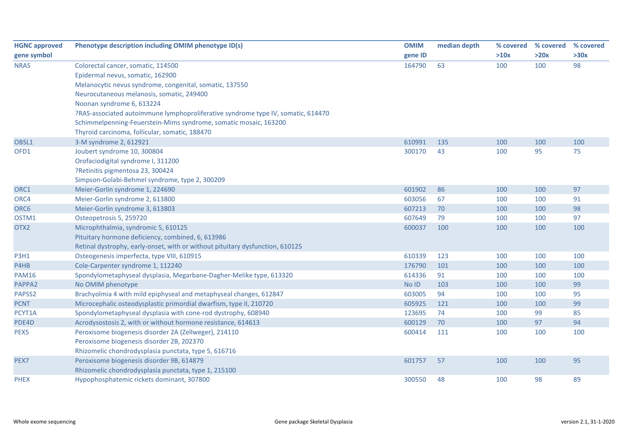| <b>HGNC approved</b> | Phenotype description including OMIM phenotype ID(s)                             | <b>OMIM</b> | median depth | % covered | % covered | % covered |
|----------------------|----------------------------------------------------------------------------------|-------------|--------------|-----------|-----------|-----------|
| gene symbol          |                                                                                  | gene ID     |              | >10x      | >20x      | >30x      |
| <b>NRAS</b>          | Colorectal cancer, somatic, 114500                                               | 164790      | 63           | 100       | 100       | 98        |
|                      | Epidermal nevus, somatic, 162900                                                 |             |              |           |           |           |
|                      | Melanocytic nevus syndrome, congenital, somatic, 137550                          |             |              |           |           |           |
|                      | Neurocutaneous melanosis, somatic, 249400                                        |             |              |           |           |           |
|                      | Noonan syndrome 6, 613224                                                        |             |              |           |           |           |
|                      | ?RAS-associated autoimmune lymphoproliferative syndrome type IV, somatic, 614470 |             |              |           |           |           |
|                      | Schimmelpenning-Feuerstein-Mims syndrome, somatic mosaic, 163200                 |             |              |           |           |           |
|                      | Thyroid carcinoma, follicular, somatic, 188470                                   |             |              |           |           |           |
| OBSL1                | 3-M syndrome 2, 612921                                                           | 610991      | 135          | 100       | 100       | 100       |
| OFD1                 | Joubert syndrome 10, 300804                                                      | 300170      | 43           | 100       | 95        | 75        |
|                      | Orofaciodigital syndrome I, 311200                                               |             |              |           |           |           |
|                      | ?Retinitis pigmentosa 23, 300424                                                 |             |              |           |           |           |
|                      | Simpson-Golabi-Behmel syndrome, type 2, 300209                                   |             |              |           |           |           |
| ORC1                 | Meier-Gorlin syndrome 1, 224690                                                  | 601902      | 86           | 100       | 100       | 97        |
| ORC4                 | Meier-Gorlin syndrome 2, 613800                                                  | 603056      | 67           | 100       | 100       | 91        |
| ORC6                 | Meier-Gorlin syndrome 3, 613803                                                  | 607213      | 70           | 100       | 100       | 98        |
| OSTM1                | Osteopetrosis 5, 259720                                                          | 607649      | 79           | 100       | 100       | 97        |
| OTX <sub>2</sub>     | Microphthalmia, syndromic 5, 610125                                              | 600037      | 100          | 100       | 100       | 100       |
|                      | Pituitary hormone deficiency, combined, 6, 613986                                |             |              |           |           |           |
|                      | Retinal dystrophy, early-onset, with or without pituitary dysfunction, 610125    |             |              |           |           |           |
| <b>P3H1</b>          | Osteogenesis imperfecta, type VIII, 610915                                       | 610339      | 123          | 100       | 100       | 100       |
| P4HB                 | Cole-Carpenter syndrome 1, 112240                                                | 176790      | 101          | 100       | 100       | 100       |
| <b>PAM16</b>         | Spondylometaphyseal dysplasia, Megarbane-Dagher-Melike type, 613320              | 614336      | 91           | 100       | 100       | 100       |
| PAPPA2               | No OMIM phenotype                                                                | No ID       | 103          | 100       | 100       | 99        |
| PAPSS2               | Brachyolmia 4 with mild epiphyseal and metaphyseal changes, 612847               | 603005      | 94           | 100       | 100       | 95        |
| <b>PCNT</b>          | Microcephalic osteodysplastic primordial dwarfism, type II, 210720               | 605925      | 121          | 100       | 100       | 99        |
| PCYT1A               | Spondylometaphyseal dysplasia with cone-rod dystrophy, 608940                    | 123695      | 74           | 100       | 99        | 85        |
| PDE4D                | Acrodysostosis 2, with or without hormone resistance, 614613                     | 600129      | 70           | 100       | 97        | 94        |
| PEX5                 | Peroxisome biogenesis disorder 2A (Zellweger), 214110                            | 600414      | 111          | 100       | 100       | 100       |
|                      | Peroxisome biogenesis disorder 2B, 202370                                        |             |              |           |           |           |
|                      | Rhizomelic chondrodysplasia punctata, type 5, 616716                             |             |              |           |           |           |
| PEX7                 | Peroxisome biogenesis disorder 9B, 614879                                        | 601757      | 57           | 100       | 100       | 95        |
|                      | Rhizomelic chondrodysplasia punctata, type 1, 215100                             |             |              |           |           |           |
| <b>PHEX</b>          | Hypophosphatemic rickets dominant, 307800                                        | 300550      | 48           | 100       | 98        | 89        |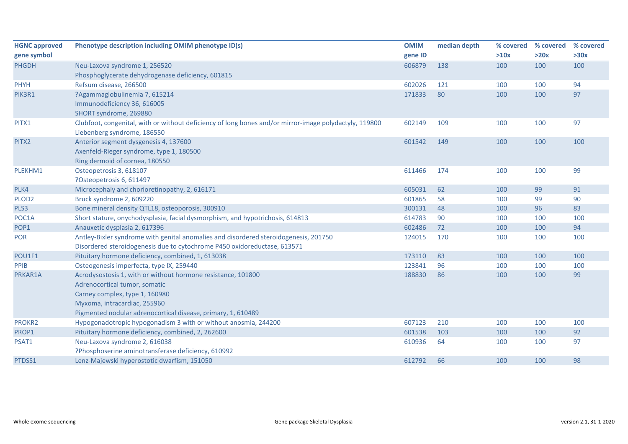| <b>HGNC approved</b> | Phenotype description including OMIM phenotype ID(s)                                                   | <b>OMIM</b> | median depth | % covered | % covered | % covered |
|----------------------|--------------------------------------------------------------------------------------------------------|-------------|--------------|-----------|-----------|-----------|
| gene symbol          |                                                                                                        | gene ID     |              | >10x      | >20x      | >30x      |
| <b>PHGDH</b>         | Neu-Laxova syndrome 1, 256520                                                                          | 606879      | 138          | 100       | 100       | 100       |
|                      | Phosphoglycerate dehydrogenase deficiency, 601815                                                      |             |              |           |           |           |
| <b>PHYH</b>          | Refsum disease, 266500                                                                                 | 602026      | 121          | 100       | 100       | 94        |
| PIK3R1               | ?Agammaglobulinemia 7, 615214                                                                          | 171833      | 80           | 100       | 100       | 97        |
|                      | Immunodeficiency 36, 616005                                                                            |             |              |           |           |           |
|                      | SHORT syndrome, 269880                                                                                 |             |              |           |           |           |
| PITX1                | Clubfoot, congenital, with or without deficiency of long bones and/or mirror-image polydactyly, 119800 | 602149      | 109          | 100       | 100       | 97        |
|                      | Liebenberg syndrome, 186550                                                                            |             |              |           |           |           |
| PITX2                | Anterior segment dysgenesis 4, 137600                                                                  | 601542      | 149          | 100       | 100       | 100       |
|                      | Axenfeld-Rieger syndrome, type 1, 180500                                                               |             |              |           |           |           |
|                      | Ring dermoid of cornea, 180550                                                                         |             |              |           |           |           |
| PLEKHM1              | Osteopetrosis 3, 618107                                                                                | 611466      | 174          | 100       | 100       | 99        |
|                      | ?Osteopetrosis 6, 611497                                                                               |             |              |           |           |           |
| PLK4                 | Microcephaly and chorioretinopathy, 2, 616171                                                          | 605031      | 62           | 100       | 99        | 91        |
| PLOD <sub>2</sub>    | Bruck syndrome 2, 609220                                                                               | 601865      | 58           | 100       | 99        | 90        |
| PLS3                 | Bone mineral density QTL18, osteoporosis, 300910                                                       | 300131      | 48           | 100       | 96        | 83        |
| POC1A                | Short stature, onychodysplasia, facial dysmorphism, and hypotrichosis, 614813                          | 614783      | 90           | 100       | 100       | 100       |
| POP1                 | Anauxetic dysplasia 2, 617396                                                                          | 602486      | 72           | 100       | 100       | 94        |
| POR                  | Antley-Bixler syndrome with genital anomalies and disordered steroidogenesis, 201750                   | 124015      | 170          | 100       | 100       | 100       |
|                      | Disordered steroidogenesis due to cytochrome P450 oxidoreductase, 613571                               |             |              |           |           |           |
| POU1F1               | Pituitary hormone deficiency, combined, 1, 613038                                                      | 173110      | 83           | 100       | 100       | 100       |
| PPIB                 | Osteogenesis imperfecta, type IX, 259440                                                               | 123841      | 96           | 100       | 100       | 100       |
| PRKAR1A              | Acrodysostosis 1, with or without hormone resistance, 101800                                           | 188830      | 86           | 100       | 100       | 99        |
|                      | Adrenocortical tumor, somatic                                                                          |             |              |           |           |           |
|                      | Carney complex, type 1, 160980                                                                         |             |              |           |           |           |
|                      | Myxoma, intracardiac, 255960                                                                           |             |              |           |           |           |
|                      | Pigmented nodular adrenocortical disease, primary, 1, 610489                                           |             |              |           |           |           |
| PROKR2               | Hypogonadotropic hypogonadism 3 with or without anosmia, 244200                                        | 607123      | 210          | 100       | 100       | 100       |
| PROP1                | Pituitary hormone deficiency, combined, 2, 262600                                                      | 601538      | 103          | 100       | 100       | 92        |
| PSAT1                | Neu-Laxova syndrome 2, 616038                                                                          | 610936      | 64           | 100       | 100       | 97        |
|                      | ?Phosphoserine aminotransferase deficiency, 610992                                                     |             |              |           |           |           |
| PTDSS1               | Lenz-Majewski hyperostotic dwarfism, 151050                                                            | 612792      | 66           | 100       | 100       | 98        |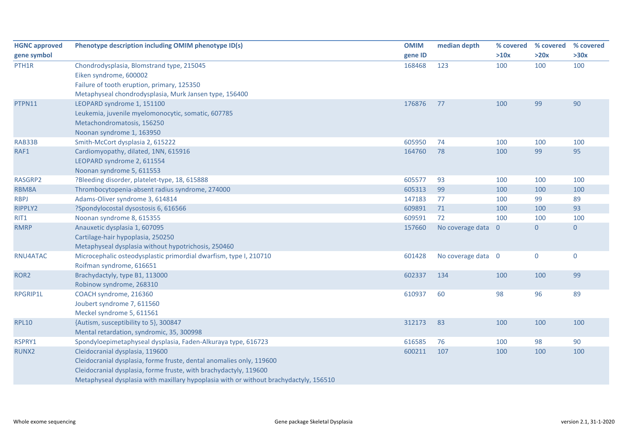| <b>HGNC approved</b> | Phenotype description including OMIM phenotype ID(s)                                  | <b>OMIM</b> | median depth       | % covered                | % covered    | % covered      |
|----------------------|---------------------------------------------------------------------------------------|-------------|--------------------|--------------------------|--------------|----------------|
| gene symbol          |                                                                                       | gene ID     |                    | >10x                     | >20x         | >30x           |
| PTH1R                | Chondrodysplasia, Blomstrand type, 215045                                             | 168468      | 123                | 100                      | 100          | 100            |
|                      | Eiken syndrome, 600002                                                                |             |                    |                          |              |                |
|                      | Failure of tooth eruption, primary, 125350                                            |             |                    |                          |              |                |
|                      | Metaphyseal chondrodysplasia, Murk Jansen type, 156400                                |             |                    |                          |              |                |
| PTPN11               | LEOPARD syndrome 1, 151100                                                            | 176876      | 77                 | 100                      | 99           | 90             |
|                      | Leukemia, juvenile myelomonocytic, somatic, 607785                                    |             |                    |                          |              |                |
|                      | Metachondromatosis, 156250                                                            |             |                    |                          |              |                |
|                      | Noonan syndrome 1, 163950                                                             |             |                    |                          |              |                |
| RAB33B               | Smith-McCort dysplasia 2, 615222                                                      | 605950      | 74                 | 100                      | 100          | 100            |
| RAF1                 | Cardiomyopathy, dilated, 1NN, 615916                                                  | 164760      | 78                 | 100                      | 99           | 95             |
|                      | LEOPARD syndrome 2, 611554                                                            |             |                    |                          |              |                |
|                      | Noonan syndrome 5, 611553                                                             |             |                    |                          |              |                |
| RASGRP2              | ?Bleeding disorder, platelet-type, 18, 615888                                         | 605577      | 93                 | 100                      | 100          | 100            |
| RBM8A                | Thrombocytopenia-absent radius syndrome, 274000                                       | 605313      | 99                 | 100                      | 100          | 100            |
| <b>RBPJ</b>          | Adams-Oliver syndrome 3, 614814                                                       | 147183      | 77                 | 100                      | 99           | 89             |
| RIPPLY2              | ?Spondylocostal dysostosis 6, 616566                                                  | 609891      | 71                 | 100                      | 100          | 93             |
| RIT1                 | Noonan syndrome 8, 615355                                                             | 609591      | 72                 | 100                      | 100          | 100            |
| <b>RMRP</b>          | Anauxetic dysplasia 1, 607095                                                         | 157660      | No coverage data   | $\overline{\phantom{0}}$ | $\mathbf{0}$ | $\overline{0}$ |
|                      | Cartilage-hair hypoplasia, 250250                                                     |             |                    |                          |              |                |
|                      | Metaphyseal dysplasia without hypotrichosis, 250460                                   |             |                    |                          |              |                |
| RNU4ATAC             | Microcephalic osteodysplastic primordial dwarfism, type I, 210710                     | 601428      | No coverage data 0 |                          | $\pmb{0}$    | $\pmb{0}$      |
|                      | Roifman syndrome, 616651                                                              |             |                    |                          |              |                |
| ROR <sub>2</sub>     | Brachydactyly, type B1, 113000                                                        | 602337      | 134                | 100                      | 100          | 99             |
|                      | Robinow syndrome, 268310                                                              |             |                    |                          |              |                |
| RPGRIP1L             | COACH syndrome, 216360                                                                | 610937      | 60                 | 98                       | 96           | 89             |
|                      | Joubert syndrome 7, 611560                                                            |             |                    |                          |              |                |
|                      | Meckel syndrome 5, 611561                                                             |             |                    |                          |              |                |
| <b>RPL10</b>         | {Autism, susceptibility to 5}, 300847                                                 | 312173      | 83                 | 100                      | 100          | 100            |
|                      | Mental retardation, syndromic, 35, 300998                                             |             |                    |                          |              |                |
| RSPRY1               | Spondyloepimetaphyseal dysplasia, Faden-Alkuraya type, 616723                         | 616585      | 76                 | 100                      | 98           | 90             |
| RUNX2                | Cleidocranial dysplasia, 119600                                                       | 600211      | 107                | 100                      | 100          | 100            |
|                      | Cleidocranial dysplasia, forme fruste, dental anomalies only, 119600                  |             |                    |                          |              |                |
|                      | Cleidocranial dysplasia, forme fruste, with brachydactyly, 119600                     |             |                    |                          |              |                |
|                      | Metaphyseal dysplasia with maxillary hypoplasia with or without brachydactyly, 156510 |             |                    |                          |              |                |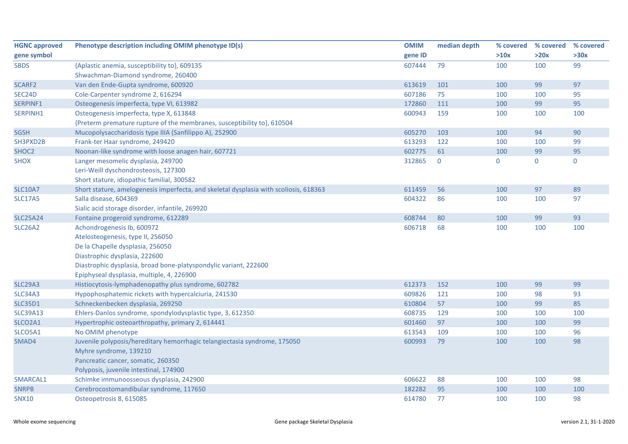| <b>HGNC approved</b> | Phenotype description including OMIM phenotype ID(s)                                  | <b>OMIM</b> | median depth   | % covered | % covered      | % covered   |
|----------------------|---------------------------------------------------------------------------------------|-------------|----------------|-----------|----------------|-------------|
| gene symbol          |                                                                                       | gene ID     |                | >10x      | >20x           | >30x        |
| <b>SBDS</b>          | {Aplastic anemia, susceptibility to}, 609135                                          | 607444      | 79             | 100       | 100            | 99          |
|                      | Shwachman-Diamond syndrome, 260400                                                    |             |                |           |                |             |
| SCARF2               | Van den Ende-Gupta syndrome, 600920                                                   | 613619      | 101            | 100       | 99             | 97          |
| SEC24D               | Cole-Carpenter syndrome 2, 616294                                                     | 607186      | 75             | 100       | 100            | 95          |
| SERPINF1             | Osteogenesis imperfecta, type VI, 613982                                              | 172860      | 111            | 100       | 99             | 95          |
| SERPINH1             | Osteogenesis imperfecta, type X, 613848                                               | 600943      | 159            | 100       | 100            | 100         |
|                      | {Preterm premature rupture of the membranes, susceptibility to}, 610504               |             |                |           |                |             |
| <b>SGSH</b>          | Mucopolysaccharidosis type IIIA (Sanfilippo A), 252900                                | 605270      | 103            | 100       | 94             | 90          |
| SH3PXD2B             | Frank-ter Haar syndrome, 249420                                                       | 613293      | 122            | 100       | 100            | 99          |
| SHOC <sub>2</sub>    | Noonan-like syndrome with loose anagen hair, 607721                                   | 602775      | 61             | 100       | 99             | 95          |
| <b>SHOX</b>          | Langer mesomelic dysplasia, 249700                                                    | 312865      | $\overline{0}$ | 0         | $\overline{0}$ | $\mathbf 0$ |
|                      | Leri-Weill dyschondrosteosis, 127300                                                  |             |                |           |                |             |
|                      | Short stature, idiopathic familial, 300582                                            |             |                |           |                |             |
| <b>SLC10A7</b>       | Short stature, amelogenesis imperfecta, and skeletal dysplasia with scoliosis, 618363 | 611459      | 56             | 100       | 97             | 89          |
| <b>SLC17A5</b>       | Salla disease, 604369                                                                 | 604322      | 86             | 100       | 100            | 97          |
|                      | Sialic acid storage disorder, infantile, 269920                                       |             |                |           |                |             |
| <b>SLC25A24</b>      | Fontaine progeroid syndrome, 612289                                                   | 608744      | 80             | 100       | 99             | 93          |
| <b>SLC26A2</b>       | Achondrogenesis Ib, 600972                                                            | 606718      | 68             | 100       | 100            | 100         |
|                      | Atelosteogenesis, type II, 256050                                                     |             |                |           |                |             |
|                      | De la Chapelle dysplasia, 256050                                                      |             |                |           |                |             |
|                      | Diastrophic dysplasia, 222600                                                         |             |                |           |                |             |
|                      | Diastrophic dysplasia, broad bone-platyspondylic variant, 222600                      |             |                |           |                |             |
|                      | Epiphyseal dysplasia, multiple, 4, 226900                                             |             |                |           |                |             |
| <b>SLC29A3</b>       | Histiocytosis-lymphadenopathy plus syndrome, 602782                                   | 612373      | 152            | 100       | 99             | 99          |
| <b>SLC34A3</b>       | Hypophosphatemic rickets with hypercalciuria, 241530                                  | 609826      | 121            | 100       | 98             | 93          |
| <b>SLC35D1</b>       | Schneckenbecken dysplasia, 269250                                                     | 610804      | 57             | 100       | 99             | 85          |
| <b>SLC39A13</b>      | Ehlers-Danlos syndrome, spondylodysplastic type, 3, 612350                            | 608735      | 129            | 100       | 100            | 100         |
| SLCO2A1              | Hypertrophic osteoarthropathy, primary 2, 614441                                      | 601460      | 97             | 100       | 100            | 99          |
| SLCO5A1              | No OMIM phenotype                                                                     | 613543      | 109            | 100       | 100            | 96          |
| SMAD4                | Juvenile polyposis/hereditary hemorrhagic telangiectasia syndrome, 175050             | 600993      | 79             | 100       | 100            | 98          |
|                      | Myhre syndrome, 139210                                                                |             |                |           |                |             |
|                      | Pancreatic cancer, somatic, 260350                                                    |             |                |           |                |             |
|                      | Polyposis, juvenile intestinal, 174900                                                |             |                |           |                |             |
| SMARCAL1             | Schimke immunoosseous dysplasia, 242900                                               | 606622      | 88             | 100       | 100            | 98          |
| <b>SNRPB</b>         | Cerebrocostomandibular syndrome, 117650                                               | 182282      | 95             | 100       | 100            | 100         |
| <b>SNX10</b>         | Osteopetrosis 8, 615085                                                               | 614780      | 77             | 100       | 100            | 98          |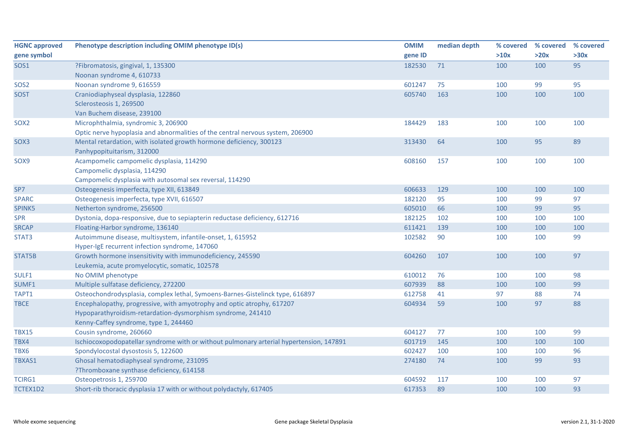| <b>HGNC approved</b> | Phenotype description including OMIM phenotype ID(s)                                    | <b>OMIM</b> | median depth | % covered | % covered | % covered |
|----------------------|-----------------------------------------------------------------------------------------|-------------|--------------|-----------|-----------|-----------|
| gene symbol          |                                                                                         | gene ID     |              | >10x      | >20x      | >30x      |
| SOS1                 | ?Fibromatosis, gingival, 1, 135300                                                      | 182530      | 71           | 100       | 100       | 95        |
|                      | Noonan syndrome 4, 610733                                                               |             |              |           |           |           |
| SOS <sub>2</sub>     | Noonan syndrome 9, 616559                                                               | 601247      | 75           | 100       | 99        | 95        |
| <b>SOST</b>          | Craniodiaphyseal dysplasia, 122860                                                      | 605740      | 163          | 100       | 100       | 100       |
|                      | Sclerosteosis 1, 269500                                                                 |             |              |           |           |           |
|                      | Van Buchem disease, 239100                                                              |             |              |           |           |           |
| SOX <sub>2</sub>     | Microphthalmia, syndromic 3, 206900                                                     | 184429      | 183          | 100       | 100       | 100       |
|                      | Optic nerve hypoplasia and abnormalities of the central nervous system, 206900          |             |              |           |           |           |
| SOX3                 | Mental retardation, with isolated growth hormone deficiency, 300123                     | 313430      | 64           | 100       | 95        | 89        |
|                      | Panhypopituitarism, 312000                                                              |             |              |           |           |           |
| SOX9                 | Acampomelic campomelic dysplasia, 114290                                                | 608160      | 157          | 100       | 100       | 100       |
|                      | Campomelic dysplasia, 114290                                                            |             |              |           |           |           |
|                      | Campomelic dysplasia with autosomal sex reversal, 114290                                |             |              |           |           |           |
| SP7                  | Osteogenesis imperfecta, type XII, 613849                                               | 606633      | 129          | 100       | 100       | 100       |
| <b>SPARC</b>         | Osteogenesis imperfecta, type XVII, 616507                                              | 182120      | 95           | 100       | 99        | 97        |
| SPINK5               | Netherton syndrome, 256500                                                              | 605010      | 66           | 100       | 99        | 95        |
| <b>SPR</b>           | Dystonia, dopa-responsive, due to sepiapterin reductase deficiency, 612716              | 182125      | 102          | 100       | 100       | 100       |
| <b>SRCAP</b>         | Floating-Harbor syndrome, 136140                                                        | 611421      | 139          | 100       | 100       | 100       |
| STAT3                | Autoimmune disease, multisystem, infantile-onset, 1, 615952                             | 102582      | 90           | 100       | 100       | 99        |
|                      | Hyper-IgE recurrent infection syndrome, 147060                                          |             |              |           |           |           |
| STAT5B               | Growth hormone insensitivity with immunodeficiency, 245590                              | 604260      | 107          | 100       | 100       | 97        |
|                      | Leukemia, acute promyelocytic, somatic, 102578                                          |             |              |           |           |           |
| SULF1                | No OMIM phenotype                                                                       | 610012      | 76           | 100       | 100       | 98        |
| SUMF1                | Multiple sulfatase deficiency, 272200                                                   | 607939      | 88           | 100       | 100       | 99        |
| TAPT1                | Osteochondrodysplasia, complex lethal, Symoens-Barnes-Gistelinck type, 616897           | 612758      | 41           | 97        | 88        | 74        |
| <b>TBCE</b>          | Encephalopathy, progressive, with amyotrophy and optic atrophy, 617207                  | 604934      | 59           | 100       | 97        | 88        |
|                      | Hypoparathyroidism-retardation-dysmorphism syndrome, 241410                             |             |              |           |           |           |
|                      | Kenny-Caffey syndrome, type 1, 244460                                                   |             |              |           |           |           |
| <b>TBX15</b>         | Cousin syndrome, 260660                                                                 | 604127      | 77           | 100       | 100       | 99        |
| TBX4                 | Ischiocoxopodopatellar syndrome with or without pulmonary arterial hypertension, 147891 | 601719      | 145          | 100       | 100       | 100       |
| TBX6                 | Spondylocostal dysostosis 5, 122600                                                     | 602427      | 100          | 100       | 100       | 96        |
| TBXAS1               | Ghosal hematodiaphyseal syndrome, 231095                                                | 274180      | 74           | 100       | 99        | 93        |
|                      | ?Thromboxane synthase deficiency, 614158                                                |             |              |           |           |           |
| <b>TCIRG1</b>        | Osteopetrosis 1, 259700                                                                 | 604592      | 117          | 100       | 100       | 97        |
| TCTEX1D2             | Short-rib thoracic dysplasia 17 with or without polydactyly, 617405                     | 617353      | 89           | 100       | 100       | 93        |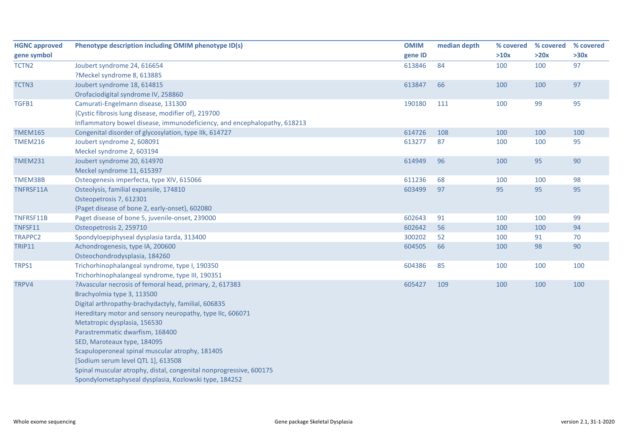| <b>HGNC approved</b> | Phenotype description including OMIM phenotype ID(s)                     | <b>OMIM</b> | median depth | % covered | % covered | % covered |
|----------------------|--------------------------------------------------------------------------|-------------|--------------|-----------|-----------|-----------|
| gene symbol          |                                                                          | gene ID     |              | >10x      | >20x      | >30x      |
| TCTN2                | Joubert syndrome 24, 616654                                              | 613846      | 84           | 100       | 100       | 97        |
|                      | ?Meckel syndrome 8, 613885                                               |             |              |           |           |           |
| TCTN3                | Joubert syndrome 18, 614815                                              | 613847      | 66           | 100       | 100       | 97        |
|                      | Orofaciodigital syndrome IV, 258860                                      |             |              |           |           |           |
| TGFB1                | Camurati-Engelmann disease, 131300                                       | 190180      | 111          | 100       | 99        | 95        |
|                      | {Cystic fibrosis lung disease, modifier of}, 219700                      |             |              |           |           |           |
|                      | Inflammatory bowel disease, immunodeficiency, and encephalopathy, 618213 |             |              |           |           |           |
| <b>TMEM165</b>       | Congenital disorder of glycosylation, type IIk, 614727                   | 614726      | 108          | 100       | 100       | 100       |
| <b>TMEM216</b>       | Joubert syndrome 2, 608091                                               | 613277      | 87           | 100       | 100       | 95        |
|                      | Meckel syndrome 2, 603194                                                |             |              |           |           |           |
| <b>TMEM231</b>       | Joubert syndrome 20, 614970                                              | 614949      | 96           | 100       | 95        | 90        |
|                      | Meckel syndrome 11, 615397                                               |             |              |           |           |           |
| TMEM38B              | Osteogenesis imperfecta, type XIV, 615066                                | 611236      | 68           | 100       | 100       | 98        |
| TNFRSF11A            | Osteolysis, familial expansile, 174810                                   | 603499      | 97           | 95        | 95        | 95        |
|                      | Osteopetrosis 7, 612301                                                  |             |              |           |           |           |
|                      | {Paget disease of bone 2, early-onset}, 602080                           |             |              |           |           |           |
| TNFRSF11B            | Paget disease of bone 5, juvenile-onset, 239000                          | 602643      | 91           | 100       | 100       | 99        |
| TNFSF11              | Osteopetrosis 2, 259710                                                  | 602642      | 56           | 100       | 100       | 94        |
| <b>TRAPPC2</b>       | Spondyloepiphyseal dysplasia tarda, 313400                               | 300202      | 52           | 100       | 91        | 70        |
| <b>TRIP11</b>        | Achondrogenesis, type IA, 200600                                         | 604505      | 66           | 100       | 98        | 90        |
|                      | Osteochondrodysplasia, 184260                                            |             |              |           |           |           |
| TRPS1                | Trichorhinophalangeal syndrome, type I, 190350                           | 604386      | 85           | 100       | 100       | 100       |
|                      | Trichorhinophalangeal syndrome, type III, 190351                         |             |              |           |           |           |
| TRPV4                | ?Avascular necrosis of femoral head, primary, 2, 617383                  | 605427      | 109          | 100       | 100       | 100       |
|                      | Brachyolmia type 3, 113500                                               |             |              |           |           |           |
|                      | Digital arthropathy-brachydactyly, familial, 606835                      |             |              |           |           |           |
|                      | Hereditary motor and sensory neuropathy, type IIc, 606071                |             |              |           |           |           |
|                      | Metatropic dysplasia, 156530                                             |             |              |           |           |           |
|                      | Parastremmatic dwarfism, 168400                                          |             |              |           |           |           |
|                      | SED, Maroteaux type, 184095                                              |             |              |           |           |           |
|                      | Scapuloperoneal spinal muscular atrophy, 181405                          |             |              |           |           |           |
|                      | [Sodium serum level QTL 1], 613508                                       |             |              |           |           |           |
|                      | Spinal muscular atrophy, distal, congenital nonprogressive, 600175       |             |              |           |           |           |
|                      | Spondylometaphyseal dysplasia, Kozlowski type, 184252                    |             |              |           |           |           |